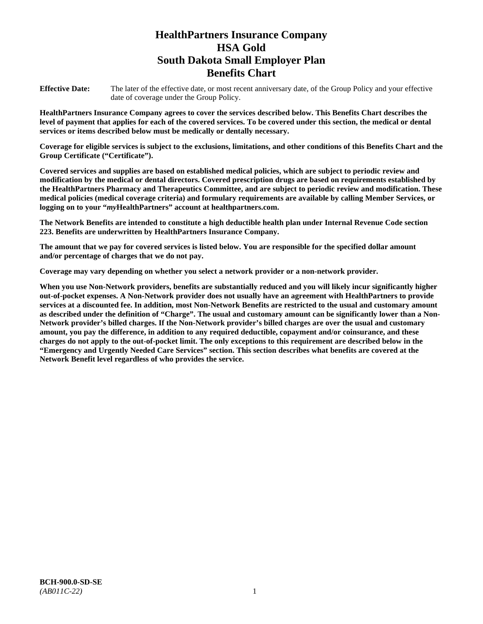# **HealthPartners Insurance Company HSA Gold South Dakota Small Employer Plan Benefits Chart**

**Effective Date:** The later of the effective date, or most recent anniversary date, of the Group Policy and your effective date of coverage under the Group Policy.

**HealthPartners Insurance Company agrees to cover the services described below. This Benefits Chart describes the level of payment that applies for each of the covered services. To be covered under this section, the medical or dental services or items described below must be medically or dentally necessary.**

**Coverage for eligible services is subject to the exclusions, limitations, and other conditions of this Benefits Chart and the Group Certificate ("Certificate").**

**Covered services and supplies are based on established medical policies, which are subject to periodic review and modification by the medical or dental directors. Covered prescription drugs are based on requirements established by the HealthPartners Pharmacy and Therapeutics Committee, and are subject to periodic review and modification. These medical policies (medical coverage criteria) and formulary requirements are available by calling Member Services, or logging on to your "***my***HealthPartners" account at [healthpartners.com.](file://isntmacsrv0/www.healthpartners.com)**

**The Network Benefits are intended to constitute a high deductible health plan under Internal Revenue Code section 223. Benefits are underwritten by HealthPartners Insurance Company.**

**The amount that we pay for covered services is listed below. You are responsible for the specified dollar amount and/or percentage of charges that we do not pay.**

**Coverage may vary depending on whether you select a network provider or a non-network provider.**

**When you use Non-Network providers, benefits are substantially reduced and you will likely incur significantly higher out-of-pocket expenses. A Non-Network provider does not usually have an agreement with HealthPartners to provide services at a discounted fee. In addition, most Non-Network Benefits are restricted to the usual and customary amount as described under the definition of "Charge". The usual and customary amount can be significantly lower than a Non-Network provider's billed charges. If the Non-Network provider's billed charges are over the usual and customary amount, you pay the difference, in addition to any required deductible, copayment and/or coinsurance, and these charges do not apply to the out-of-pocket limit. The only exceptions to this requirement are described below in the "Emergency and Urgently Needed Care Services" section. This section describes what benefits are covered at the Network Benefit level regardless of who provides the service.**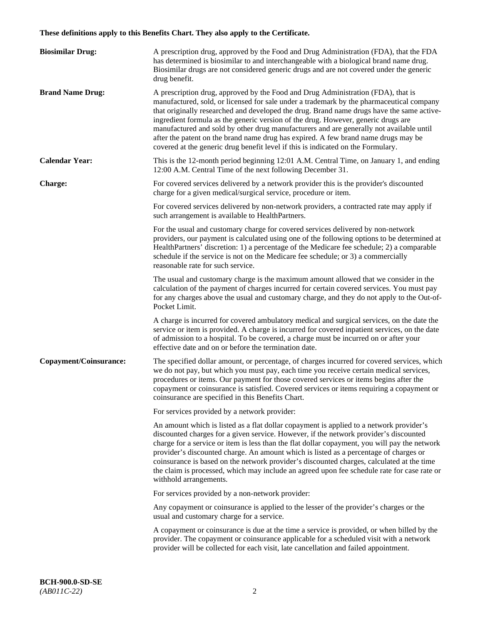# **These definitions apply to this Benefits Chart. They also apply to the Certificate.**

| <b>Biosimilar Drug:</b> | A prescription drug, approved by the Food and Drug Administration (FDA), that the FDA<br>has determined is biosimilar to and interchangeable with a biological brand name drug.<br>Biosimilar drugs are not considered generic drugs and are not covered under the generic<br>drug benefit.                                                                                                                                                                                                                                                                                                                                         |
|-------------------------|-------------------------------------------------------------------------------------------------------------------------------------------------------------------------------------------------------------------------------------------------------------------------------------------------------------------------------------------------------------------------------------------------------------------------------------------------------------------------------------------------------------------------------------------------------------------------------------------------------------------------------------|
| <b>Brand Name Drug:</b> | A prescription drug, approved by the Food and Drug Administration (FDA), that is<br>manufactured, sold, or licensed for sale under a trademark by the pharmaceutical company<br>that originally researched and developed the drug. Brand name drugs have the same active-<br>ingredient formula as the generic version of the drug. However, generic drugs are<br>manufactured and sold by other drug manufacturers and are generally not available until<br>after the patent on the brand name drug has expired. A few brand name drugs may be<br>covered at the generic drug benefit level if this is indicated on the Formulary. |
| <b>Calendar Year:</b>   | This is the 12-month period beginning 12:01 A.M. Central Time, on January 1, and ending<br>12:00 A.M. Central Time of the next following December 31.                                                                                                                                                                                                                                                                                                                                                                                                                                                                               |
| <b>Charge:</b>          | For covered services delivered by a network provider this is the provider's discounted<br>charge for a given medical/surgical service, procedure or item.                                                                                                                                                                                                                                                                                                                                                                                                                                                                           |
|                         | For covered services delivered by non-network providers, a contracted rate may apply if<br>such arrangement is available to HealthPartners.                                                                                                                                                                                                                                                                                                                                                                                                                                                                                         |
|                         | For the usual and customary charge for covered services delivered by non-network<br>providers, our payment is calculated using one of the following options to be determined at<br>HealthPartners' discretion: 1) a percentage of the Medicare fee schedule; 2) a comparable<br>schedule if the service is not on the Medicare fee schedule; or 3) a commercially<br>reasonable rate for such service.                                                                                                                                                                                                                              |
|                         | The usual and customary charge is the maximum amount allowed that we consider in the<br>calculation of the payment of charges incurred for certain covered services. You must pay<br>for any charges above the usual and customary charge, and they do not apply to the Out-of-<br>Pocket Limit.                                                                                                                                                                                                                                                                                                                                    |
|                         | A charge is incurred for covered ambulatory medical and surgical services, on the date the<br>service or item is provided. A charge is incurred for covered inpatient services, on the date<br>of admission to a hospital. To be covered, a charge must be incurred on or after your<br>effective date and on or before the termination date.                                                                                                                                                                                                                                                                                       |
| Copayment/Coinsurance:  | The specified dollar amount, or percentage, of charges incurred for covered services, which<br>we do not pay, but which you must pay, each time you receive certain medical services,<br>procedures or items. Our payment for those covered services or items begins after the<br>copayment or coinsurance is satisfied. Covered services or items requiring a copayment or<br>coinsurance are specified in this Benefits Chart.                                                                                                                                                                                                    |
|                         | For services provided by a network provider:                                                                                                                                                                                                                                                                                                                                                                                                                                                                                                                                                                                        |
|                         | An amount which is listed as a flat dollar copayment is applied to a network provider's<br>discounted charges for a given service. However, if the network provider's discounted<br>charge for a service or item is less than the flat dollar copayment, you will pay the network<br>provider's discounted charge. An amount which is listed as a percentage of charges or<br>coinsurance is based on the network provider's discounted charges, calculated at the time<br>the claim is processed, which may include an agreed upon fee schedule rate for case rate or<br>withhold arrangements.                                    |
|                         | For services provided by a non-network provider:                                                                                                                                                                                                                                                                                                                                                                                                                                                                                                                                                                                    |
|                         | Any copayment or coinsurance is applied to the lesser of the provider's charges or the<br>usual and customary charge for a service.                                                                                                                                                                                                                                                                                                                                                                                                                                                                                                 |
|                         | A copayment or coinsurance is due at the time a service is provided, or when billed by the<br>provider. The copayment or coinsurance applicable for a scheduled visit with a network<br>provider will be collected for each visit, late cancellation and failed appointment.                                                                                                                                                                                                                                                                                                                                                        |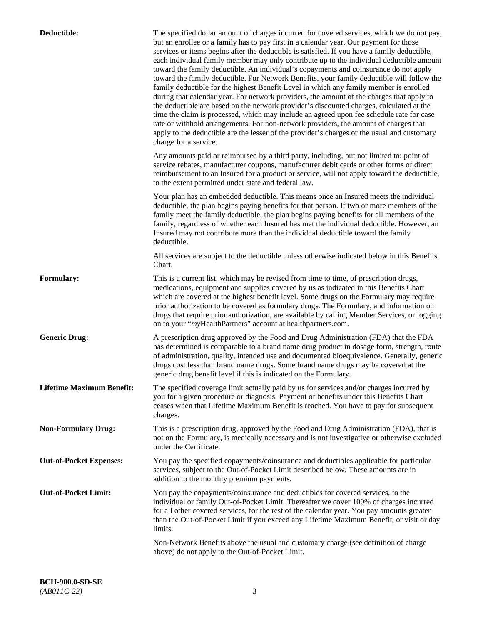| Deductible:                      | The specified dollar amount of charges incurred for covered services, which we do not pay,<br>but an enrollee or a family has to pay first in a calendar year. Our payment for those<br>services or items begins after the deductible is satisfied. If you have a family deductible,<br>each individual family member may only contribute up to the individual deductible amount<br>toward the family deductible. An individual's copayments and coinsurance do not apply<br>toward the family deductible. For Network Benefits, your family deductible will follow the<br>family deductible for the highest Benefit Level in which any family member is enrolled<br>during that calendar year. For network providers, the amount of the charges that apply to<br>the deductible are based on the network provider's discounted charges, calculated at the<br>time the claim is processed, which may include an agreed upon fee schedule rate for case<br>rate or withhold arrangements. For non-network providers, the amount of charges that<br>apply to the deductible are the lesser of the provider's charges or the usual and customary<br>charge for a service. |
|----------------------------------|------------------------------------------------------------------------------------------------------------------------------------------------------------------------------------------------------------------------------------------------------------------------------------------------------------------------------------------------------------------------------------------------------------------------------------------------------------------------------------------------------------------------------------------------------------------------------------------------------------------------------------------------------------------------------------------------------------------------------------------------------------------------------------------------------------------------------------------------------------------------------------------------------------------------------------------------------------------------------------------------------------------------------------------------------------------------------------------------------------------------------------------------------------------------|
|                                  | Any amounts paid or reimbursed by a third party, including, but not limited to: point of<br>service rebates, manufacturer coupons, manufacturer debit cards or other forms of direct<br>reimbursement to an Insured for a product or service, will not apply toward the deductible,<br>to the extent permitted under state and federal law.                                                                                                                                                                                                                                                                                                                                                                                                                                                                                                                                                                                                                                                                                                                                                                                                                            |
|                                  | Your plan has an embedded deductible. This means once an Insured meets the individual<br>deductible, the plan begins paying benefits for that person. If two or more members of the<br>family meet the family deductible, the plan begins paying benefits for all members of the<br>family, regardless of whether each Insured has met the individual deductible. However, an<br>Insured may not contribute more than the individual deductible toward the family<br>deductible.                                                                                                                                                                                                                                                                                                                                                                                                                                                                                                                                                                                                                                                                                       |
|                                  | All services are subject to the deductible unless otherwise indicated below in this Benefits<br>Chart.                                                                                                                                                                                                                                                                                                                                                                                                                                                                                                                                                                                                                                                                                                                                                                                                                                                                                                                                                                                                                                                                 |
| <b>Formulary:</b>                | This is a current list, which may be revised from time to time, of prescription drugs,<br>medications, equipment and supplies covered by us as indicated in this Benefits Chart<br>which are covered at the highest benefit level. Some drugs on the Formulary may require<br>prior authorization to be covered as formulary drugs. The Formulary, and information on<br>drugs that require prior authorization, are available by calling Member Services, or logging<br>on to your "myHealthPartners" account at healthpartners.com.                                                                                                                                                                                                                                                                                                                                                                                                                                                                                                                                                                                                                                  |
| <b>Generic Drug:</b>             | A prescription drug approved by the Food and Drug Administration (FDA) that the FDA<br>has determined is comparable to a brand name drug product in dosage form, strength, route<br>of administration, quality, intended use and documented bioequivalence. Generally, generic<br>drugs cost less than brand name drugs. Some brand name drugs may be covered at the<br>generic drug benefit level if this is indicated on the Formulary.                                                                                                                                                                                                                                                                                                                                                                                                                                                                                                                                                                                                                                                                                                                              |
| <b>Lifetime Maximum Benefit:</b> | The specified coverage limit actually paid by us for services and/or charges incurred by<br>you for a given procedure or diagnosis. Payment of benefits under this Benefits Chart<br>ceases when that Lifetime Maximum Benefit is reached. You have to pay for subsequent<br>charges.                                                                                                                                                                                                                                                                                                                                                                                                                                                                                                                                                                                                                                                                                                                                                                                                                                                                                  |
| <b>Non-Formulary Drug:</b>       | This is a prescription drug, approved by the Food and Drug Administration (FDA), that is<br>not on the Formulary, is medically necessary and is not investigative or otherwise excluded<br>under the Certificate.                                                                                                                                                                                                                                                                                                                                                                                                                                                                                                                                                                                                                                                                                                                                                                                                                                                                                                                                                      |
| <b>Out-of-Pocket Expenses:</b>   | You pay the specified copayments/coinsurance and deductibles applicable for particular<br>services, subject to the Out-of-Pocket Limit described below. These amounts are in<br>addition to the monthly premium payments.                                                                                                                                                                                                                                                                                                                                                                                                                                                                                                                                                                                                                                                                                                                                                                                                                                                                                                                                              |
| <b>Out-of-Pocket Limit:</b>      | You pay the copayments/coinsurance and deductibles for covered services, to the<br>individual or family Out-of-Pocket Limit. Thereafter we cover 100% of charges incurred<br>for all other covered services, for the rest of the calendar year. You pay amounts greater<br>than the Out-of-Pocket Limit if you exceed any Lifetime Maximum Benefit, or visit or day<br>limits.                                                                                                                                                                                                                                                                                                                                                                                                                                                                                                                                                                                                                                                                                                                                                                                         |
|                                  | Non-Network Benefits above the usual and customary charge (see definition of charge<br>above) do not apply to the Out-of-Pocket Limit.                                                                                                                                                                                                                                                                                                                                                                                                                                                                                                                                                                                                                                                                                                                                                                                                                                                                                                                                                                                                                                 |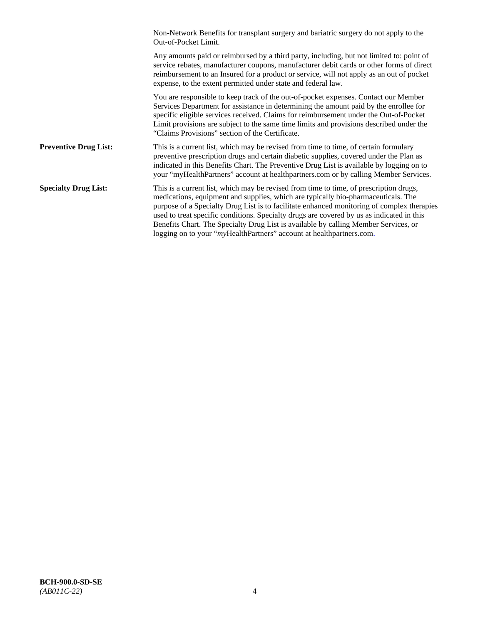|                              | Non-Network Benefits for transplant surgery and bariatric surgery do not apply to the<br>Out-of-Pocket Limit.                                                                                                                                                                                                                                                                                                                                                                                                                         |
|------------------------------|---------------------------------------------------------------------------------------------------------------------------------------------------------------------------------------------------------------------------------------------------------------------------------------------------------------------------------------------------------------------------------------------------------------------------------------------------------------------------------------------------------------------------------------|
|                              | Any amounts paid or reimbursed by a third party, including, but not limited to: point of<br>service rebates, manufacturer coupons, manufacturer debit cards or other forms of direct<br>reimbursement to an Insured for a product or service, will not apply as an out of pocket<br>expense, to the extent permitted under state and federal law.                                                                                                                                                                                     |
|                              | You are responsible to keep track of the out-of-pocket expenses. Contact our Member<br>Services Department for assistance in determining the amount paid by the enrollee for<br>specific eligible services received. Claims for reimbursement under the Out-of-Pocket<br>Limit provisions are subject to the same time limits and provisions described under the<br>"Claims Provisions" section of the Certificate.                                                                                                                   |
| <b>Preventive Drug List:</b> | This is a current list, which may be revised from time to time, of certain formulary<br>preventive prescription drugs and certain diabetic supplies, covered under the Plan as<br>indicated in this Benefits Chart. The Preventive Drug List is available by logging on to<br>your "myHealthPartners" account at healthpartners.com or by calling Member Services.                                                                                                                                                                    |
| <b>Specialty Drug List:</b>  | This is a current list, which may be revised from time to time, of prescription drugs,<br>medications, equipment and supplies, which are typically bio-pharmaceuticals. The<br>purpose of a Specialty Drug List is to facilitate enhanced monitoring of complex therapies<br>used to treat specific conditions. Specialty drugs are covered by us as indicated in this<br>Benefits Chart. The Specialty Drug List is available by calling Member Services, or<br>logging on to your "myHealthPartners" account at healthpartners.com. |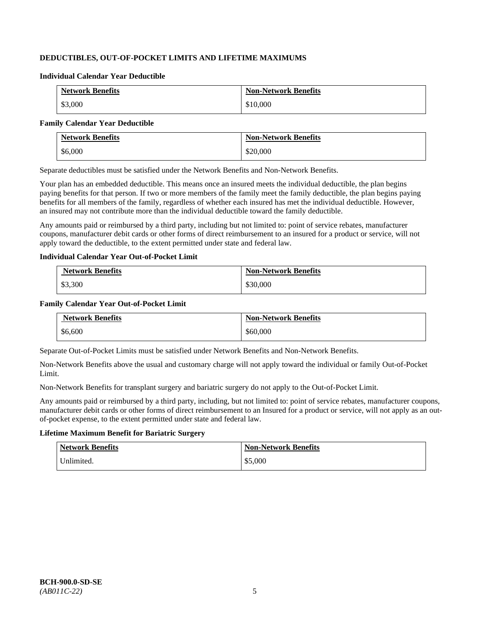# **DEDUCTIBLES, OUT-OF-POCKET LIMITS AND LIFETIME MAXIMUMS**

#### **Individual Calendar Year Deductible**

| <b>Network Benefits</b> | <b>Non-Network Benefits</b> |
|-------------------------|-----------------------------|
| \$3,000                 | \$10,000                    |

#### **Family Calendar Year Deductible**

| <b>Network Benefits</b> | <b>Non-Network Benefits</b> |
|-------------------------|-----------------------------|
| \$6,000                 | \$20,000                    |

Separate deductibles must be satisfied under the Network Benefits and Non-Network Benefits.

Your plan has an embedded deductible. This means once an insured meets the individual deductible, the plan begins paying benefits for that person. If two or more members of the family meet the family deductible, the plan begins paying benefits for all members of the family, regardless of whether each insured has met the individual deductible. However, an insured may not contribute more than the individual deductible toward the family deductible.

Any amounts paid or reimbursed by a third party, including but not limited to: point of service rebates, manufacturer coupons, manufacturer debit cards or other forms of direct reimbursement to an insured for a product or service, will not apply toward the deductible, to the extent permitted under state and federal law.

#### **Individual Calendar Year Out-of-Pocket Limit**

| <b>Network Benefits</b> | <b>Non-Network Benefits</b> |
|-------------------------|-----------------------------|
| \$3,300                 | \$30,000                    |

#### **Family Calendar Year Out-of-Pocket Limit**

| <b>Network Benefits</b> | <b>Non-Network Benefits</b> |
|-------------------------|-----------------------------|
| \$6,600                 | \$60,000                    |

Separate Out-of-Pocket Limits must be satisfied under Network Benefits and Non-Network Benefits.

Non-Network Benefits above the usual and customary charge will not apply toward the individual or family Out-of-Pocket Limit.

Non-Network Benefits for transplant surgery and bariatric surgery do not apply to the Out-of-Pocket Limit.

Any amounts paid or reimbursed by a third party, including, but not limited to: point of service rebates, manufacturer coupons, manufacturer debit cards or other forms of direct reimbursement to an Insured for a product or service, will not apply as an outof-pocket expense, to the extent permitted under state and federal law.

# **Lifetime Maximum Benefit for Bariatric Surgery**

| <b>Network Benefits</b> | <b>Non-Network Benefits</b> |
|-------------------------|-----------------------------|
| Unlimited.              | \$5,000                     |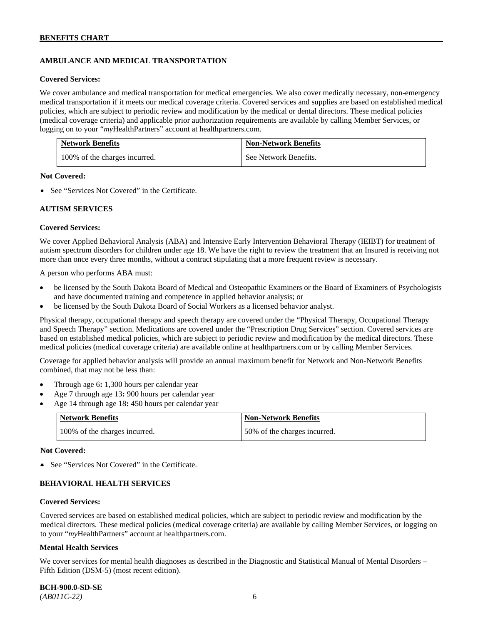# **AMBULANCE AND MEDICAL TRANSPORTATION**

#### **Covered Services:**

We cover ambulance and medical transportation for medical emergencies. We also cover medically necessary, non-emergency medical transportation if it meets our medical coverage criteria. Covered services and supplies are based on established medical policies, which are subject to periodic review and modification by the medical or dental directors. These medical policies (medical coverage criteria) and applicable prior authorization requirements are available by calling Member Services, or logging on to your "*my*HealthPartners" account at [healthpartners.com.](http://healthpartners.com/)

| <b>Network Benefits</b>       | <b>Non-Network Benefits</b> |
|-------------------------------|-----------------------------|
| 100% of the charges incurred. | See Network Benefits.       |

#### **Not Covered:**

• See "Services Not Covered" in the Certificate.

#### **AUTISM SERVICES**

#### **Covered Services:**

We cover Applied Behavioral Analysis (ABA) and Intensive Early Intervention Behavioral Therapy (IEIBT) for treatment of autism spectrum disorders for children under age 18. We have the right to review the treatment that an Insured is receiving not more than once every three months, without a contract stipulating that a more frequent review is necessary.

A person who performs ABA must:

- be licensed by the South Dakota Board of Medical and Osteopathic Examiners or the Board of Examiners of Psychologists and have documented training and competence in applied behavior analysis; or
- be licensed by the South Dakota Board of Social Workers as a licensed behavior analyst.

Physical therapy, occupational therapy and speech therapy are covered under the "Physical Therapy, Occupational Therapy and Speech Therapy" section. Medications are covered under the "Prescription Drug Services" section. Covered services are based on established medical policies, which are subject to periodic review and modification by the medical directors. These medical policies (medical coverage criteria) are available online at [healthpartners.com](http://healthpartners.com/) or by calling Member Services.

Coverage for applied behavior analysis will provide an annual maximum benefit for Network and Non-Network Benefits combined, that may not be less than:

- Through age 6**:** 1,300 hours per calendar year
- Age 7 through age 13**:** 900 hours per calendar year
- Age 14 through age 18**:** 450 hours per calendar year

| <b>Network Benefits</b>       | <b>Non-Network Benefits</b>  |
|-------------------------------|------------------------------|
| 100% of the charges incurred. | 50% of the charges incurred. |

#### **Not Covered:**

• See "Services Not Covered" in the Certificate.

# **BEHAVIORAL HEALTH SERVICES**

#### **Covered Services:**

Covered services are based on established medical policies, which are subject to periodic review and modification by the medical directors. These medical policies (medical coverage criteria) are available by calling Member Services, or logging on to your "*my*HealthPartners" account at [healthpartners.com.](http://healthpartners.com/)

#### **Mental Health Services**

We cover services for mental health diagnoses as described in the Diagnostic and Statistical Manual of Mental Disorders – Fifth Edition (DSM-5) (most recent edition).

**BCH-900.0-SD-SE**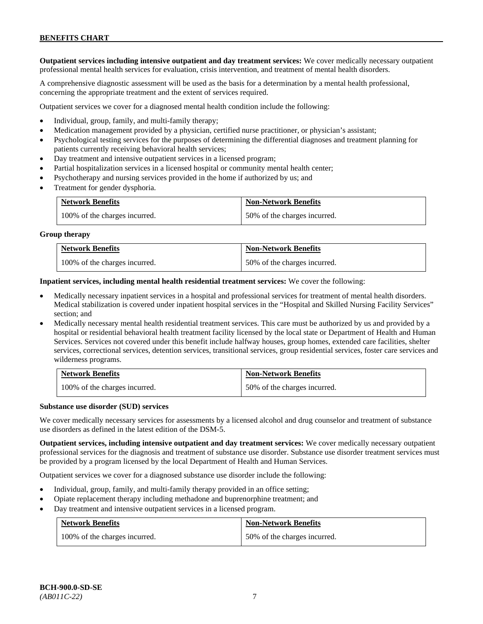**Outpatient services including intensive outpatient and day treatment services:** We cover medically necessary outpatient professional mental health services for evaluation, crisis intervention, and treatment of mental health disorders.

A comprehensive diagnostic assessment will be used as the basis for a determination by a mental health professional, concerning the appropriate treatment and the extent of services required.

Outpatient services we cover for a diagnosed mental health condition include the following:

- Individual, group, family, and multi-family therapy;
- Medication management provided by a physician, certified nurse practitioner, or physician's assistant;
- Psychological testing services for the purposes of determining the differential diagnoses and treatment planning for patients currently receiving behavioral health services;
- Day treatment and intensive outpatient services in a licensed program;
- Partial hospitalization services in a licensed hospital or community mental health center;
- Psychotherapy and nursing services provided in the home if authorized by us; and
- Treatment for gender dysphoria.

| <b>Network Benefits</b>       | <b>Non-Network Benefits</b>  |
|-------------------------------|------------------------------|
| 100% of the charges incurred. | 50% of the charges incurred. |

#### **Group therapy**

| <b>Network Benefits</b>       | <b>Non-Network Benefits</b>  |
|-------------------------------|------------------------------|
| 100% of the charges incurred. | 50% of the charges incurred. |

**Inpatient services, including mental health residential treatment services:** We cover the following:

- Medically necessary inpatient services in a hospital and professional services for treatment of mental health disorders. Medical stabilization is covered under inpatient hospital services in the "Hospital and Skilled Nursing Facility Services" section; and
- Medically necessary mental health residential treatment services. This care must be authorized by us and provided by a hospital or residential behavioral health treatment facility licensed by the local state or Department of Health and Human Services. Services not covered under this benefit include halfway houses, group homes, extended care facilities, shelter services, correctional services, detention services, transitional services, group residential services, foster care services and wilderness programs.

| <b>Network Benefits</b>       | <b>Non-Network Benefits</b>  |
|-------------------------------|------------------------------|
| 100% of the charges incurred. | 50% of the charges incurred. |

#### **Substance use disorder (SUD) services**

We cover medically necessary services for assessments by a licensed alcohol and drug counselor and treatment of substance use disorders as defined in the latest edition of the DSM-5.

**Outpatient services, including intensive outpatient and day treatment services:** We cover medically necessary outpatient professional services for the diagnosis and treatment of substance use disorder. Substance use disorder treatment services must be provided by a program licensed by the local Department of Health and Human Services.

Outpatient services we cover for a diagnosed substance use disorder include the following:

- Individual, group, family, and multi-family therapy provided in an office setting;
- Opiate replacement therapy including methadone and buprenorphine treatment; and
- Day treatment and intensive outpatient services in a licensed program.

| <b>Network Benefits</b>       | <b>Non-Network Benefits</b>  |
|-------------------------------|------------------------------|
| 100% of the charges incurred. | 50% of the charges incurred. |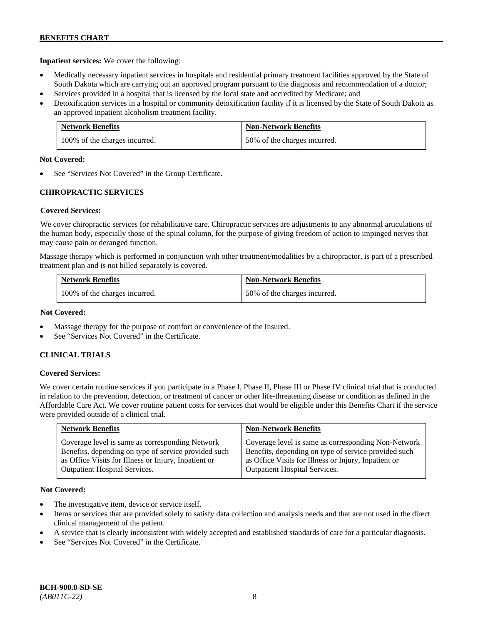**Inpatient services:** We cover the following:

- Medically necessary inpatient services in hospitals and residential primary treatment facilities approved by the State of South Dakota which are carrying out an approved program pursuant to the diagnosis and recommendation of a doctor;
- Services provided in a hospital that is licensed by the local state and accredited by Medicare; and
- Detoxification services in a hospital or community detoxification facility if it is licensed by the State of South Dakota as an approved inpatient alcoholism treatment facility.

| <b>Network Benefits</b>       | <b>Non-Network Benefits</b>  |
|-------------------------------|------------------------------|
| 100% of the charges incurred. | 50% of the charges incurred. |

#### **Not Covered:**

See "Services Not Covered" in the Group Certificate.

# **CHIROPRACTIC SERVICES**

# **Covered Services:**

We cover chiropractic services for rehabilitative care. Chiropractic services are adjustments to any abnormal articulations of the human body, especially those of the spinal column, for the purpose of giving freedom of action to impinged nerves that may cause pain or deranged function.

Massage therapy which is performed in conjunction with other treatment/modalities by a chiropractor, is part of a prescribed treatment plan and is not billed separately is covered.

| <b>Network Benefits</b>       | <b>Non-Network Benefits</b>  |
|-------------------------------|------------------------------|
| 100% of the charges incurred. | 50% of the charges incurred. |

#### **Not Covered:**

- Massage therapy for the purpose of comfort or convenience of the Insured.
- See "Services Not Covered" in the Certificate.

# **CLINICAL TRIALS**

# **Covered Services:**

We cover certain routine services if you participate in a Phase I, Phase II, Phase III or Phase IV clinical trial that is conducted in relation to the prevention, detection, or treatment of cancer or other life-threatening disease or condition as defined in the Affordable Care Act. We cover routine patient costs for services that would be eligible under this Benefits Chart if the service were provided outside of a clinical trial.

| <b>Network Benefits</b>                              | <b>Non-Network Benefits</b>                          |
|------------------------------------------------------|------------------------------------------------------|
| Coverage level is same as corresponding Network      | Coverage level is same as corresponding Non-Network  |
| Benefits, depending on type of service provided such | Benefits, depending on type of service provided such |
| as Office Visits for Illness or Injury, Inpatient or | as Office Visits for Illness or Injury, Inpatient or |
| <b>Outpatient Hospital Services.</b>                 | Outpatient Hospital Services.                        |

# **Not Covered:**

- The investigative item, device or service itself.
- Items or services that are provided solely to satisfy data collection and analysis needs and that are not used in the direct clinical management of the patient.
- A service that is clearly inconsistent with widely accepted and established standards of care for a particular diagnosis.
- See "Services Not Covered" in the Certificate.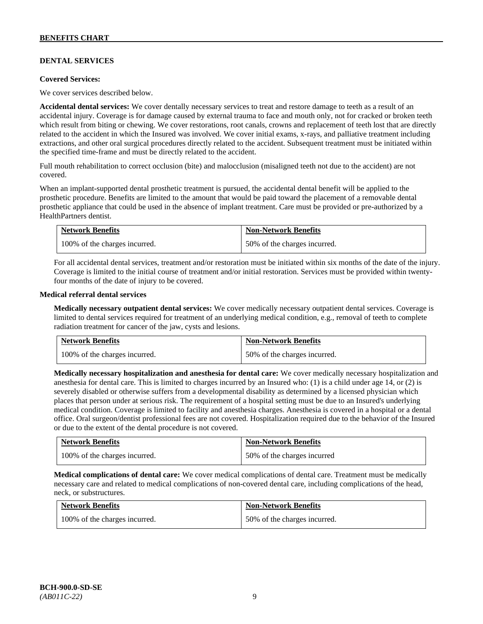# **DENTAL SERVICES**

#### **Covered Services:**

We cover services described below.

**Accidental dental services:** We cover dentally necessary services to treat and restore damage to teeth as a result of an accidental injury. Coverage is for damage caused by external trauma to face and mouth only, not for cracked or broken teeth which result from biting or chewing. We cover restorations, root canals, crowns and replacement of teeth lost that are directly related to the accident in which the Insured was involved. We cover initial exams, x-rays, and palliative treatment including extractions, and other oral surgical procedures directly related to the accident. Subsequent treatment must be initiated within the specified time-frame and must be directly related to the accident.

Full mouth rehabilitation to correct occlusion (bite) and malocclusion (misaligned teeth not due to the accident) are not covered.

When an implant-supported dental prosthetic treatment is pursued, the accidental dental benefit will be applied to the prosthetic procedure. Benefits are limited to the amount that would be paid toward the placement of a removable dental prosthetic appliance that could be used in the absence of implant treatment. Care must be provided or pre-authorized by a HealthPartners dentist.

| Network Benefits              | <b>Non-Network Benefits</b>  |
|-------------------------------|------------------------------|
| 100% of the charges incurred. | 50% of the charges incurred. |

For all accidental dental services, treatment and/or restoration must be initiated within six months of the date of the injury. Coverage is limited to the initial course of treatment and/or initial restoration. Services must be provided within twentyfour months of the date of injury to be covered.

#### **Medical referral dental services**

**Medically necessary outpatient dental services:** We cover medically necessary outpatient dental services. Coverage is limited to dental services required for treatment of an underlying medical condition, e.g., removal of teeth to complete radiation treatment for cancer of the jaw, cysts and lesions.

| <b>Network Benefits</b>       | <b>Non-Network Benefits</b>  |
|-------------------------------|------------------------------|
| 100% of the charges incurred. | 50% of the charges incurred. |

**Medically necessary hospitalization and anesthesia for dental care:** We cover medically necessary hospitalization and anesthesia for dental care. This is limited to charges incurred by an Insured who: (1) is a child under age 14, or (2) is severely disabled or otherwise suffers from a developmental disability as determined by a licensed physician which places that person under at serious risk. The requirement of a hospital setting must be due to an Insured's underlying medical condition. Coverage is limited to facility and anesthesia charges. Anesthesia is covered in a hospital or a dental office. Oral surgeon/dentist professional fees are not covered. Hospitalization required due to the behavior of the Insured or due to the extent of the dental procedure is not covered.

| <b>Network Benefits</b>       | <b>Non-Network Benefits</b> |
|-------------------------------|-----------------------------|
| 100% of the charges incurred. | 50% of the charges incurred |

**Medical complications of dental care:** We cover medical complications of dental care. Treatment must be medically necessary care and related to medical complications of non-covered dental care, including complications of the head, neck, or substructures.

| <b>Network Benefits</b>       | <b>Non-Network Benefits</b>  |
|-------------------------------|------------------------------|
| 100% of the charges incurred. | 50% of the charges incurred. |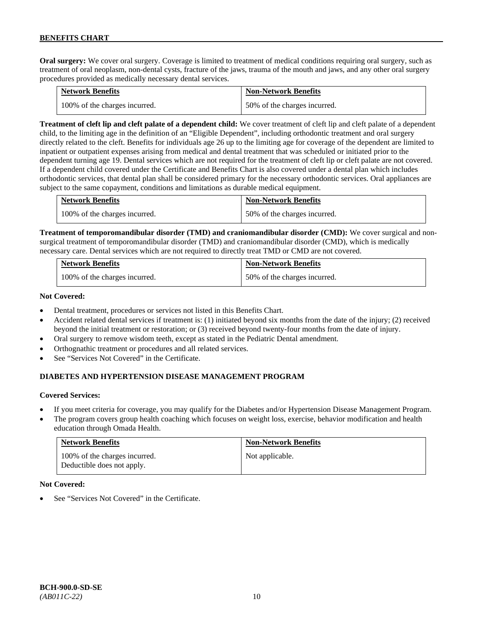**Oral surgery:** We cover oral surgery. Coverage is limited to treatment of medical conditions requiring oral surgery, such as treatment of oral neoplasm, non-dental cysts, fracture of the jaws, trauma of the mouth and jaws, and any other oral surgery procedures provided as medically necessary dental services.

| <b>Network Benefits</b>       | <b>Non-Network Benefits</b>  |
|-------------------------------|------------------------------|
| 100% of the charges incurred. | 50% of the charges incurred. |

**Treatment of cleft lip and cleft palate of a dependent child:** We cover treatment of cleft lip and cleft palate of a dependent child, to the limiting age in the definition of an "Eligible Dependent", including orthodontic treatment and oral surgery directly related to the cleft. Benefits for individuals age 26 up to the limiting age for coverage of the dependent are limited to inpatient or outpatient expenses arising from medical and dental treatment that was scheduled or initiated prior to the dependent turning age 19. Dental services which are not required for the treatment of cleft lip or cleft palate are not covered. If a dependent child covered under the Certificate and Benefits Chart is also covered under a dental plan which includes orthodontic services, that dental plan shall be considered primary for the necessary orthodontic services. Oral appliances are subject to the same copayment, conditions and limitations as durable medical equipment.

| <b>Network Benefits</b>       | <b>Non-Network Benefits</b>  |
|-------------------------------|------------------------------|
| 100% of the charges incurred. | 50% of the charges incurred. |

**Treatment of temporomandibular disorder (TMD) and craniomandibular disorder (CMD):** We cover surgical and nonsurgical treatment of temporomandibular disorder (TMD) and craniomandibular disorder (CMD), which is medically necessary care. Dental services which are not required to directly treat TMD or CMD are not covered.

| <b>Network Benefits</b>       | <b>Non-Network Benefits</b>  |
|-------------------------------|------------------------------|
| 100% of the charges incurred. | 50% of the charges incurred. |

#### **Not Covered:**

- Dental treatment, procedures or services not listed in this Benefits Chart.
- Accident related dental services if treatment is: (1) initiated beyond six months from the date of the injury; (2) received beyond the initial treatment or restoration; or (3) received beyond twenty-four months from the date of injury.
- Oral surgery to remove wisdom teeth, except as stated in the Pediatric Dental amendment.
- Orthognathic treatment or procedures and all related services.
- See "Services Not Covered" in the Certificate.

# **DIABETES AND HYPERTENSION DISEASE MANAGEMENT PROGRAM**

# **Covered Services:**

- If you meet criteria for coverage, you may qualify for the Diabetes and/or Hypertension Disease Management Program.
- The program covers group health coaching which focuses on weight loss, exercise, behavior modification and health education through Omada Health.

| <b>Network Benefits</b>                                     | <b>Non-Network Benefits</b> |
|-------------------------------------------------------------|-----------------------------|
| 100% of the charges incurred.<br>Deductible does not apply. | Not applicable.             |

# **Not Covered:**

See "Services Not Covered" in the Certificate.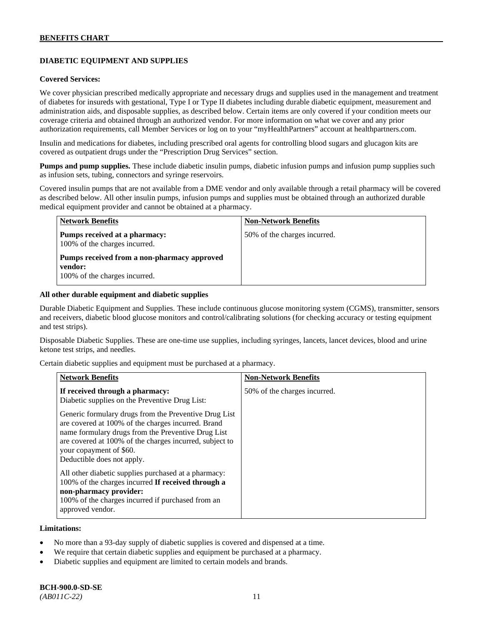# **DIABETIC EQUIPMENT AND SUPPLIES**

#### **Covered Services:**

We cover physician prescribed medically appropriate and necessary drugs and supplies used in the management and treatment of diabetes for insureds with gestational, Type I or Type II diabetes including durable diabetic equipment, measurement and administration aids, and disposable supplies, as described below. Certain items are only covered if your condition meets our coverage criteria and obtained through an authorized vendor. For more information on what we cover and any prior authorization requirements, call Member Services or log on to your "myHealthPartners" account at [healthpartners.com.](http://www.healthpartners.com/)

Insulin and medications for diabetes, including prescribed oral agents for controlling blood sugars and glucagon kits are covered as outpatient drugs under the "Prescription Drug Services" section.

**Pumps and pump supplies.** These include diabetic insulin pumps, diabetic infusion pumps and infusion pump supplies such as infusion sets, tubing, connectors and syringe reservoirs.

Covered insulin pumps that are not available from a DME vendor and only available through a retail pharmacy will be covered as described below. All other insulin pumps, infusion pumps and supplies must be obtained through an authorized durable medical equipment provider and cannot be obtained at a pharmacy.

| <b>Network Benefits</b>                                                                 | <b>Non-Network Benefits</b>  |
|-----------------------------------------------------------------------------------------|------------------------------|
| Pumps received at a pharmacy:<br>100% of the charges incurred.                          | 50% of the charges incurred. |
| Pumps received from a non-pharmacy approved<br>vendor:<br>100% of the charges incurred. |                              |

#### **All other durable equipment and diabetic supplies**

Durable Diabetic Equipment and Supplies. These include continuous glucose monitoring system (CGMS), transmitter, sensors and receivers, diabetic blood glucose monitors and control/calibrating solutions (for checking accuracy or testing equipment and test strips).

Disposable Diabetic Supplies. These are one-time use supplies, including syringes, lancets, lancet devices, blood and urine ketone test strips, and needles.

Certain diabetic supplies and equipment must be purchased at a pharmacy.

| <b>Network Benefits</b>                                                                                                                                                                                                                                                               | <b>Non-Network Benefits</b>  |
|---------------------------------------------------------------------------------------------------------------------------------------------------------------------------------------------------------------------------------------------------------------------------------------|------------------------------|
| If received through a pharmacy:<br>Diabetic supplies on the Preventive Drug List:                                                                                                                                                                                                     | 50% of the charges incurred. |
| Generic formulary drugs from the Preventive Drug List<br>are covered at 100% of the charges incurred. Brand<br>name formulary drugs from the Preventive Drug List<br>are covered at 100% of the charges incurred, subject to<br>your copayment of \$60.<br>Deductible does not apply. |                              |
| All other diabetic supplies purchased at a pharmacy:<br>100% of the charges incurred If received through a<br>non-pharmacy provider:<br>100% of the charges incurred if purchased from an<br>approved vendor.                                                                         |                              |

#### **Limitations:**

- No more than a 93-day supply of diabetic supplies is covered and dispensed at a time.
- We require that certain diabetic supplies and equipment be purchased at a pharmacy.
- Diabetic supplies and equipment are limited to certain models and brands.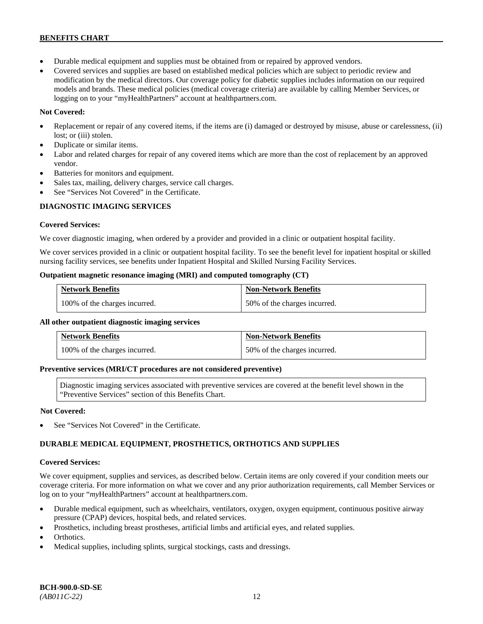- Durable medical equipment and supplies must be obtained from or repaired by approved vendors.
- Covered services and supplies are based on established medical policies which are subject to periodic review and modification by the medical directors. Our coverage policy for diabetic supplies includes information on our required models and brands. These medical policies (medical coverage criteria) are available by calling Member Services, or logging on to your "myHealthPartners" account at [healthpartners.com.](http://www.healthpartners.com/)

# **Not Covered:**

- Replacement or repair of any covered items, if the items are (i) damaged or destroyed by misuse, abuse or carelessness, (ii) lost; or (iii) stolen.
- Duplicate or similar items.
- Labor and related charges for repair of any covered items which are more than the cost of replacement by an approved vendor.
- Batteries for monitors and equipment.
- Sales tax, mailing, delivery charges, service call charges.
- See "Services Not Covered" in the Certificate.

# **DIAGNOSTIC IMAGING SERVICES**

# **Covered Services:**

We cover diagnostic imaging, when ordered by a provider and provided in a clinic or outpatient hospital facility.

We cover services provided in a clinic or outpatient hospital facility. To see the benefit level for inpatient hospital or skilled nursing facility services, see benefits under Inpatient Hospital and Skilled Nursing Facility Services.

# **Outpatient magnetic resonance imaging (MRI) and computed tomography (CT)**

| <b>Network Benefits</b>       | <b>Non-Network Benefits</b>  |
|-------------------------------|------------------------------|
| 100% of the charges incurred. | 50% of the charges incurred. |

# **All other outpatient diagnostic imaging services**

| <b>Network Benefits</b>       | <b>Non-Network Benefits</b>  |
|-------------------------------|------------------------------|
| 100% of the charges incurred. | 50% of the charges incurred. |

#### **Preventive services (MRI/CT procedures are not considered preventive)**

Diagnostic imaging services associated with preventive services are covered at the benefit level shown in the "Preventive Services" section of this Benefits Chart.

# **Not Covered:**

See "Services Not Covered" in the Certificate.

# **DURABLE MEDICAL EQUIPMENT, PROSTHETICS, ORTHOTICS AND SUPPLIES**

# **Covered Services:**

We cover equipment, supplies and services, as described below. Certain items are only covered if your condition meets our coverage criteria. For more information on what we cover and any prior authorization requirements, call Member Services or log on to your "myHealthPartners" account at [healthpartners.com.](http://healthpartners.com/)

- Durable medical equipment, such as wheelchairs, ventilators, oxygen, oxygen equipment, continuous positive airway pressure (CPAP) devices, hospital beds, and related services.
- Prosthetics, including breast prostheses, artificial limbs and artificial eyes, and related supplies.
- Orthotics.
- Medical supplies, including splints, surgical stockings, casts and dressings.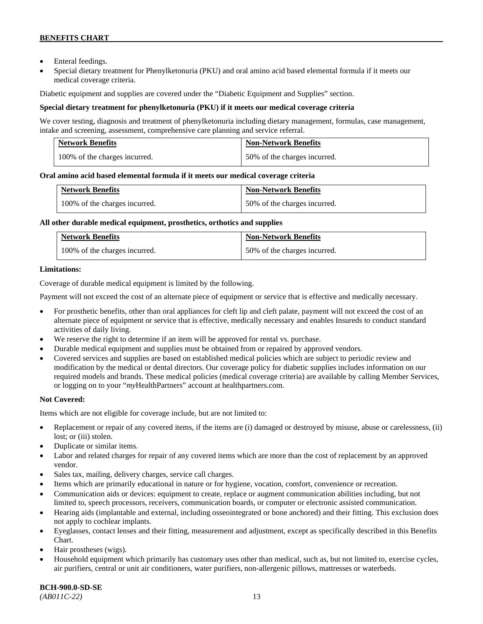- Enteral feedings.
- Special dietary treatment for Phenylketonuria (PKU) and oral amino acid based elemental formula if it meets our medical coverage criteria.

Diabetic equipment and supplies are covered under the "Diabetic Equipment and Supplies" section.

# **Special dietary treatment for phenylketonuria (PKU) if it meets our medical coverage criteria**

We cover testing, diagnosis and treatment of phenylketonuria including dietary management, formulas, case management, intake and screening, assessment, comprehensive care planning and service referral.

| <b>Network Benefits</b>       | <b>Non-Network Benefits</b>  |
|-------------------------------|------------------------------|
| 100% of the charges incurred. | 50% of the charges incurred. |

# **Oral amino acid based elemental formula if it meets our medical coverage criteria**

| <b>Network Benefits</b>       | <b>Non-Network Benefits</b>  |
|-------------------------------|------------------------------|
| 100% of the charges incurred. | 50% of the charges incurred. |

#### **All other durable medical equipment, prosthetics, orthotics and supplies**

| <b>Network Benefits</b>       | <b>Non-Network Benefits</b>  |
|-------------------------------|------------------------------|
| 100% of the charges incurred. | 50% of the charges incurred. |

# **Limitations:**

Coverage of durable medical equipment is limited by the following.

Payment will not exceed the cost of an alternate piece of equipment or service that is effective and medically necessary.

- For prosthetic benefits, other than oral appliances for cleft lip and cleft palate, payment will not exceed the cost of an alternate piece of equipment or service that is effective, medically necessary and enables Insureds to conduct standard activities of daily living.
- We reserve the right to determine if an item will be approved for rental vs. purchase.
- Durable medical equipment and supplies must be obtained from or repaired by approved vendors.
- Covered services and supplies are based on established medical policies which are subject to periodic review and modification by the medical or dental directors. Our coverage policy for diabetic supplies includes information on our required models and brands. These medical policies (medical coverage criteria) are available by calling Member Services, or logging on to your "*my*HealthPartners" account at [healthpartners.com.](http://www.healthpartners.com/)

# **Not Covered:**

Items which are not eligible for coverage include, but are not limited to:

- Replacement or repair of any covered items, if the items are (i) damaged or destroyed by misuse, abuse or carelessness, (ii) lost; or (iii) stolen.
- Duplicate or similar items.
- Labor and related charges for repair of any covered items which are more than the cost of replacement by an approved vendor.
- Sales tax, mailing, delivery charges, service call charges.
- Items which are primarily educational in nature or for hygiene, vocation, comfort, convenience or recreation.
- Communication aids or devices: equipment to create, replace or augment communication abilities including, but not limited to, speech processors, receivers, communication boards, or computer or electronic assisted communication.
- Hearing aids (implantable and external, including osseointegrated or bone anchored) and their fitting. This exclusion does not apply to cochlear implants.
- Eyeglasses, contact lenses and their fitting, measurement and adjustment, except as specifically described in this Benefits Chart.
- Hair prostheses (wigs).
- Household equipment which primarily has customary uses other than medical, such as, but not limited to, exercise cycles, air purifiers, central or unit air conditioners, water purifiers, non-allergenic pillows, mattresses or waterbeds.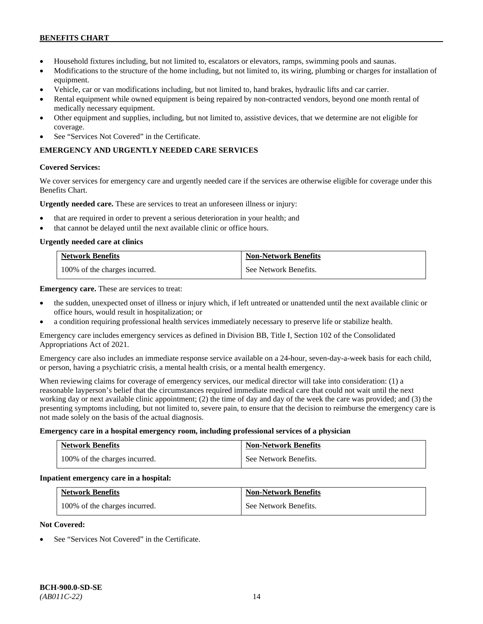- Household fixtures including, but not limited to, escalators or elevators, ramps, swimming pools and saunas.
- Modifications to the structure of the home including, but not limited to, its wiring, plumbing or charges for installation of equipment.
- Vehicle, car or van modifications including, but not limited to, hand brakes, hydraulic lifts and car carrier.
- Rental equipment while owned equipment is being repaired by non-contracted vendors, beyond one month rental of medically necessary equipment.
- Other equipment and supplies, including, but not limited to, assistive devices, that we determine are not eligible for coverage.
- See "Services Not Covered" in the Certificate.

# **EMERGENCY AND URGENTLY NEEDED CARE SERVICES**

# **Covered Services:**

We cover services for emergency care and urgently needed care if the services are otherwise eligible for coverage under this Benefits Chart.

**Urgently needed care.** These are services to treat an unforeseen illness or injury:

- that are required in order to prevent a serious deterioration in your health; and
- that cannot be delayed until the next available clinic or office hours.

#### **Urgently needed care at clinics**

| <b>Network Benefits</b>       | <b>Non-Network Benefits</b> |
|-------------------------------|-----------------------------|
| 100% of the charges incurred. | See Network Benefits.       |

**Emergency care.** These are services to treat:

- the sudden, unexpected onset of illness or injury which, if left untreated or unattended until the next available clinic or office hours, would result in hospitalization; or
- a condition requiring professional health services immediately necessary to preserve life or stabilize health.

Emergency care includes emergency services as defined in Division BB, Title I, Section 102 of the Consolidated Appropriations Act of 2021.

Emergency care also includes an immediate response service available on a 24-hour, seven-day-a-week basis for each child, or person, having a psychiatric crisis, a mental health crisis, or a mental health emergency.

When reviewing claims for coverage of emergency services, our medical director will take into consideration: (1) a reasonable layperson's belief that the circumstances required immediate medical care that could not wait until the next working day or next available clinic appointment; (2) the time of day and day of the week the care was provided; and (3) the presenting symptoms including, but not limited to, severe pain, to ensure that the decision to reimburse the emergency care is not made solely on the basis of the actual diagnosis.

#### **Emergency care in a hospital emergency room, including professional services of a physician**

| <b>Network Benefits</b>       | <b>Non-Network Benefits</b> |
|-------------------------------|-----------------------------|
| 100% of the charges incurred. | See Network Benefits.       |

#### **Inpatient emergency care in a hospital:**

| <b>Network Benefits</b>       | <b>Non-Network Benefits</b> |
|-------------------------------|-----------------------------|
| 100% of the charges incurred. | See Network Benefits.       |

# **Not Covered:**

See "Services Not Covered" in the Certificate.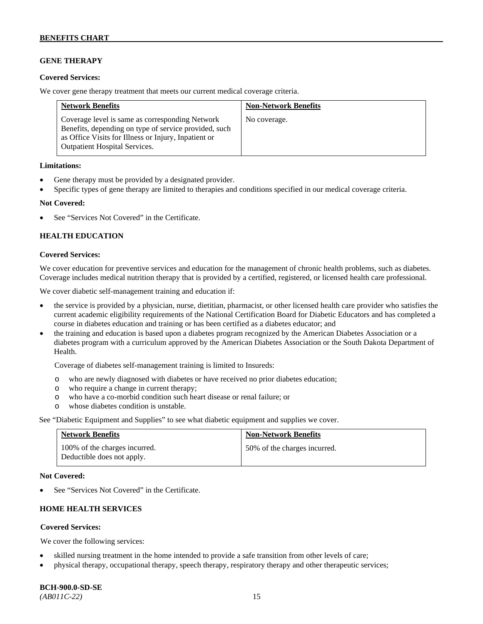# **GENE THERAPY**

#### **Covered Services:**

We cover gene therapy treatment that meets our current medical coverage criteria.

| <b>Network Benefits</b>                                                                                                                                                                                  | <b>Non-Network Benefits</b> |
|----------------------------------------------------------------------------------------------------------------------------------------------------------------------------------------------------------|-----------------------------|
| Coverage level is same as corresponding Network<br>Benefits, depending on type of service provided, such<br>as Office Visits for Illness or Injury, Inpatient or<br><b>Outpatient Hospital Services.</b> | No coverage.                |

#### **Limitations:**

- Gene therapy must be provided by a designated provider.
- Specific types of gene therapy are limited to therapies and conditions specified in our medical coverage criteria.

#### **Not Covered:**

See "Services Not Covered" in the Certificate.

# **HEALTH EDUCATION**

#### **Covered Services:**

We cover education for preventive services and education for the management of chronic health problems, such as diabetes. Coverage includes medical nutrition therapy that is provided by a certified, registered, or licensed health care professional.

We cover diabetic self-management training and education if:

- the service is provided by a physician, nurse, dietitian, pharmacist, or other licensed health care provider who satisfies the current academic eligibility requirements of the National Certification Board for Diabetic Educators and has completed a course in diabetes education and training or has been certified as a diabetes educator; and
- the training and education is based upon a diabetes program recognized by the American Diabetes Association or a diabetes program with a curriculum approved by the American Diabetes Association or the South Dakota Department of Health.

Coverage of diabetes self-management training is limited to Insureds:

- o who are newly diagnosed with diabetes or have received no prior diabetes education;
- o who require a change in current therapy;<br>o who have a co-morbid condition such heal
- who have a co-morbid condition such heart disease or renal failure; or
- o whose diabetes condition is unstable.

See "Diabetic Equipment and Supplies" to see what diabetic equipment and supplies we cover.

| <b>Network Benefits</b>                                     | <b>Non-Network Benefits</b>  |
|-------------------------------------------------------------|------------------------------|
| 100% of the charges incurred.<br>Deductible does not apply. | 50% of the charges incurred. |

#### **Not Covered:**

See "Services Not Covered" in the Certificate.

# **HOME HEALTH SERVICES**

# **Covered Services:**

We cover the following services:

- skilled nursing treatment in the home intended to provide a safe transition from other levels of care;
- physical therapy, occupational therapy, speech therapy, respiratory therapy and other therapeutic services;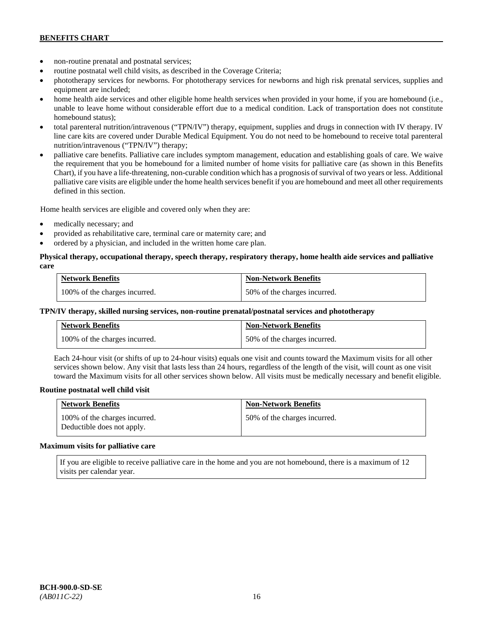- non-routine prenatal and postnatal services;
- routine postnatal well child visits, as described in the Coverage Criteria;
- phototherapy services for newborns. For phototherapy services for newborns and high risk prenatal services, supplies and equipment are included;
- home health aide services and other eligible home health services when provided in your home, if you are homebound (i.e., unable to leave home without considerable effort due to a medical condition. Lack of transportation does not constitute homebound status);
- total parenteral nutrition/intravenous ("TPN/IV") therapy, equipment, supplies and drugs in connection with IV therapy. IV line care kits are covered under Durable Medical Equipment. You do not need to be homebound to receive total parenteral nutrition/intravenous ("TPN/IV") therapy;
- palliative care benefits. Palliative care includes symptom management, education and establishing goals of care. We waive the requirement that you be homebound for a limited number of home visits for palliative care (as shown in this Benefits Chart), if you have a life-threatening, non-curable condition which has a prognosis of survival of two years or less. Additional palliative care visits are eligible under the home health services benefit if you are homebound and meet all other requirements defined in this section.

Home health services are eligible and covered only when they are:

- medically necessary; and
- provided as rehabilitative care, terminal care or maternity care; and
- ordered by a physician, and included in the written home care plan.

#### **Physical therapy, occupational therapy, speech therapy, respiratory therapy, home health aide services and palliative care**

| <b>Network Benefits</b>       | <b>Non-Network Benefits</b>  |
|-------------------------------|------------------------------|
| 100% of the charges incurred. | 50% of the charges incurred. |

#### **TPN/IV therapy, skilled nursing services, non-routine prenatal/postnatal services and phototherapy**

| <b>Network Benefits</b>       | <b>Non-Network Benefits</b>  |
|-------------------------------|------------------------------|
| 100% of the charges incurred. | 50% of the charges incurred. |

Each 24-hour visit (or shifts of up to 24-hour visits) equals one visit and counts toward the Maximum visits for all other services shown below. Any visit that lasts less than 24 hours, regardless of the length of the visit, will count as one visit toward the Maximum visits for all other services shown below. All visits must be medically necessary and benefit eligible.

#### **Routine postnatal well child visit**

| <b>Network Benefits</b>                                     | <b>Non-Network Benefits</b>  |
|-------------------------------------------------------------|------------------------------|
| 100% of the charges incurred.<br>Deductible does not apply. | 50% of the charges incurred. |

#### **Maximum visits for palliative care**

If you are eligible to receive palliative care in the home and you are not homebound, there is a maximum of 12 visits per calendar year.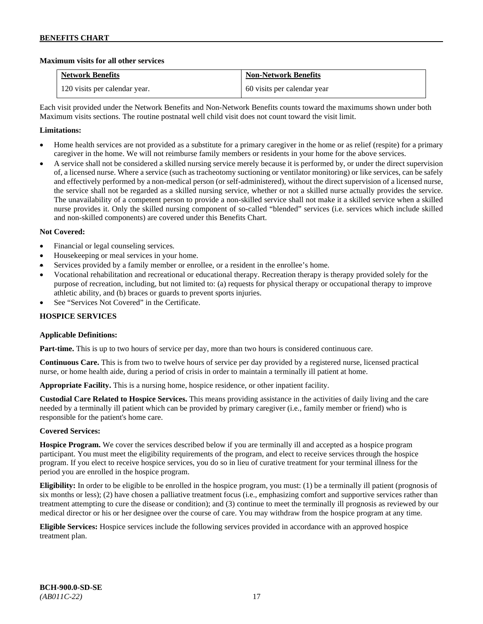# **Maximum visits for all other services**

| <b>Network Benefits</b>       | <b>Non-Network Benefits</b> |
|-------------------------------|-----------------------------|
| 120 visits per calendar year. | 60 visits per calendar year |

Each visit provided under the Network Benefits and Non-Network Benefits counts toward the maximums shown under both Maximum visits sections. The routine postnatal well child visit does not count toward the visit limit.

# **Limitations:**

- Home health services are not provided as a substitute for a primary caregiver in the home or as relief (respite) for a primary caregiver in the home. We will not reimburse family members or residents in your home for the above services.
- A service shall not be considered a skilled nursing service merely because it is performed by, or under the direct supervision of, a licensed nurse. Where a service (such as tracheotomy suctioning or ventilator monitoring) or like services, can be safely and effectively performed by a non-medical person (or self-administered), without the direct supervision of a licensed nurse, the service shall not be regarded as a skilled nursing service, whether or not a skilled nurse actually provides the service. The unavailability of a competent person to provide a non-skilled service shall not make it a skilled service when a skilled nurse provides it. Only the skilled nursing component of so-called "blended" services (i.e. services which include skilled and non-skilled components) are covered under this Benefits Chart.

# **Not Covered:**

- Financial or legal counseling services.
- Housekeeping or meal services in your home.
- Services provided by a family member or enrollee, or a resident in the enrollee's home.
- Vocational rehabilitation and recreational or educational therapy. Recreation therapy is therapy provided solely for the purpose of recreation, including, but not limited to: (a) requests for physical therapy or occupational therapy to improve athletic ability, and (b) braces or guards to prevent sports injuries.
- See "Services Not Covered" in the Certificate.

# **HOSPICE SERVICES**

# **Applicable Definitions:**

**Part-time.** This is up to two hours of service per day, more than two hours is considered continuous care.

**Continuous Care.** This is from two to twelve hours of service per day provided by a registered nurse, licensed practical nurse, or home health aide, during a period of crisis in order to maintain a terminally ill patient at home.

**Appropriate Facility.** This is a nursing home, hospice residence, or other inpatient facility.

**Custodial Care Related to Hospice Services.** This means providing assistance in the activities of daily living and the care needed by a terminally ill patient which can be provided by primary caregiver (i.e., family member or friend) who is responsible for the patient's home care.

# **Covered Services:**

**Hospice Program.** We cover the services described below if you are terminally ill and accepted as a hospice program participant. You must meet the eligibility requirements of the program, and elect to receive services through the hospice program. If you elect to receive hospice services, you do so in lieu of curative treatment for your terminal illness for the period you are enrolled in the hospice program.

**Eligibility:** In order to be eligible to be enrolled in the hospice program, you must: (1) be a terminally ill patient (prognosis of six months or less); (2) have chosen a palliative treatment focus (i.e., emphasizing comfort and supportive services rather than treatment attempting to cure the disease or condition); and (3) continue to meet the terminally ill prognosis as reviewed by our medical director or his or her designee over the course of care. You may withdraw from the hospice program at any time.

**Eligible Services:** Hospice services include the following services provided in accordance with an approved hospice treatment plan.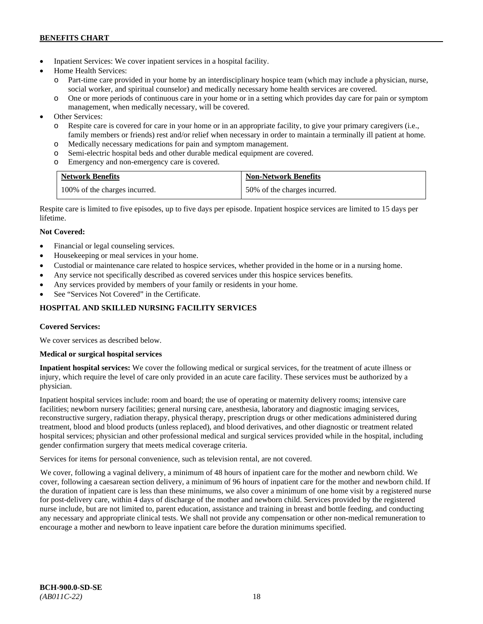- Inpatient Services: We cover inpatient services in a hospital facility.
- Home Health Services:
	- Part-time care provided in your home by an interdisciplinary hospice team (which may include a physician, nurse, social worker, and spiritual counselor) and medically necessary home health services are covered.
	- o One or more periods of continuous care in your home or in a setting which provides day care for pain or symptom management, when medically necessary, will be covered.
- Other Services:
	- o Respite care is covered for care in your home or in an appropriate facility, to give your primary caregivers (i.e., family members or friends) rest and/or relief when necessary in order to maintain a terminally ill patient at home*.*
	- o Medically necessary medications for pain and symptom management.
	- o Semi-electric hospital beds and other durable medical equipment are covered.
	- o Emergency and non-emergency care is covered.

| <b>Network Benefits</b>       | <b>Non-Network Benefits</b>  |
|-------------------------------|------------------------------|
| 100% of the charges incurred. | 50% of the charges incurred. |

Respite care is limited to five episodes, up to five days per episode. Inpatient hospice services are limited to 15 days per lifetime.

# **Not Covered:**

- Financial or legal counseling services.
- Housekeeping or meal services in your home.
- Custodial or maintenance care related to hospice services, whether provided in the home or in a nursing home.
- Any service not specifically described as covered services under this hospice services benefits.
- Any services provided by members of your family or residents in your home.
- See "Services Not Covered" in the Certificate.

# **HOSPITAL AND SKILLED NURSING FACILITY SERVICES**

# **Covered Services:**

We cover services as described below.

# **Medical or surgical hospital services**

**Inpatient hospital services:** We cover the following medical or surgical services, for the treatment of acute illness or injury, which require the level of care only provided in an acute care facility. These services must be authorized by a physician.

Inpatient hospital services include: room and board; the use of operating or maternity delivery rooms; intensive care facilities; newborn nursery facilities; general nursing care, anesthesia, laboratory and diagnostic imaging services, reconstructive surgery, radiation therapy, physical therapy, prescription drugs or other medications administered during treatment, blood and blood products (unless replaced), and blood derivatives, and other diagnostic or treatment related hospital services; physician and other professional medical and surgical services provided while in the hospital, including gender confirmation surgery that meets medical coverage criteria.

Services for items for personal convenience, such as television rental, are not covered.

We cover, following a vaginal delivery, a minimum of 48 hours of inpatient care for the mother and newborn child. We cover, following a caesarean section delivery, a minimum of 96 hours of inpatient care for the mother and newborn child. If the duration of inpatient care is less than these minimums, we also cover a minimum of one home visit by a registered nurse for post-delivery care, within 4 days of discharge of the mother and newborn child. Services provided by the registered nurse include, but are not limited to, parent education, assistance and training in breast and bottle feeding, and conducting any necessary and appropriate clinical tests. We shall not provide any compensation or other non-medical remuneration to encourage a mother and newborn to leave inpatient care before the duration minimums specified.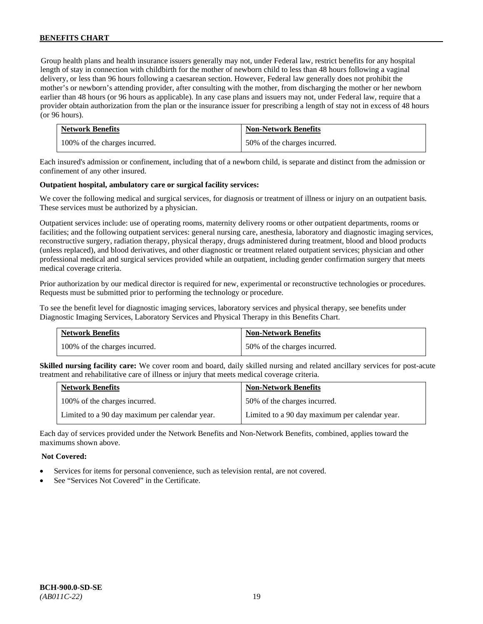Group health plans and health insurance issuers generally may not, under Federal law, restrict benefits for any hospital length of stay in connection with childbirth for the mother of newborn child to less than 48 hours following a vaginal delivery, or less than 96 hours following a caesarean section. However, Federal law generally does not prohibit the mother's or newborn's attending provider, after consulting with the mother, from discharging the mother or her newborn earlier than 48 hours (or 96 hours as applicable). In any case plans and issuers may not, under Federal law, require that a provider obtain authorization from the plan or the insurance issuer for prescribing a length of stay not in excess of 48 hours (or 96 hours).

| <b>Network Benefits</b>       | <b>Non-Network Benefits</b>  |
|-------------------------------|------------------------------|
| 100% of the charges incurred. | 50% of the charges incurred. |

Each insured's admission or confinement, including that of a newborn child, is separate and distinct from the admission or confinement of any other insured.

#### **Outpatient hospital, ambulatory care or surgical facility services:**

We cover the following medical and surgical services, for diagnosis or treatment of illness or injury on an outpatient basis. These services must be authorized by a physician.

Outpatient services include: use of operating rooms, maternity delivery rooms or other outpatient departments, rooms or facilities; and the following outpatient services: general nursing care, anesthesia, laboratory and diagnostic imaging services, reconstructive surgery, radiation therapy, physical therapy, drugs administered during treatment, blood and blood products (unless replaced), and blood derivatives, and other diagnostic or treatment related outpatient services; physician and other professional medical and surgical services provided while an outpatient, including gender confirmation surgery that meets medical coverage criteria.

Prior authorization by our medical director is required for new, experimental or reconstructive technologies or procedures. Requests must be submitted prior to performing the technology or procedure.

To see the benefit level for diagnostic imaging services, laboratory services and physical therapy, see benefits under Diagnostic Imaging Services, Laboratory Services and Physical Therapy in this Benefits Chart.

| <b>Network Benefits</b>       | <b>Non-Network Benefits</b>  |
|-------------------------------|------------------------------|
| 100% of the charges incurred. | 50% of the charges incurred. |

**Skilled nursing facility care:** We cover room and board, daily skilled nursing and related ancillary services for post-acute treatment and rehabilitative care of illness or injury that meets medical coverage criteria.

| <b>Network Benefits</b>                        | <b>Non-Network Benefits</b>                    |
|------------------------------------------------|------------------------------------------------|
| 100% of the charges incurred.                  | 50% of the charges incurred.                   |
| Limited to a 90 day maximum per calendar year. | Limited to a 90 day maximum per calendar year. |

Each day of services provided under the Network Benefits and Non-Network Benefits, combined, applies toward the maximums shown above.

#### **Not Covered:**

- Services for items for personal convenience, such as television rental, are not covered.
- See "Services Not Covered" in the Certificate.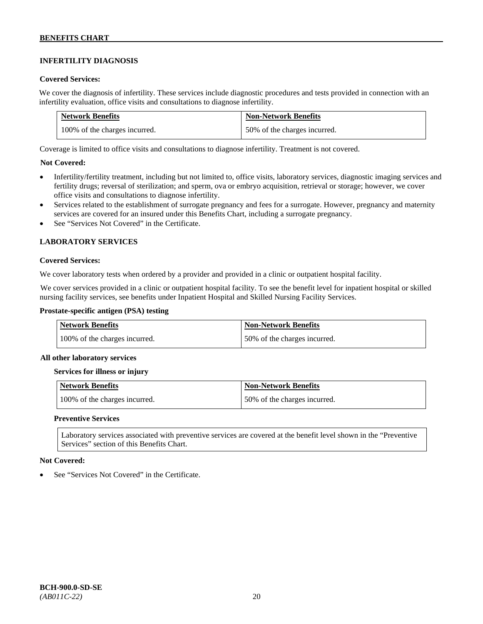# **INFERTILITY DIAGNOSIS**

#### **Covered Services:**

We cover the diagnosis of infertility. These services include diagnostic procedures and tests provided in connection with an infertility evaluation, office visits and consultations to diagnose infertility.

| <b>Network Benefits</b>       | <b>Non-Network Benefits</b>  |
|-------------------------------|------------------------------|
| 100% of the charges incurred. | 50% of the charges incurred. |

Coverage is limited to office visits and consultations to diagnose infertility. Treatment is not covered.

#### **Not Covered:**

- Infertility/fertility treatment, including but not limited to, office visits, laboratory services, diagnostic imaging services and fertility drugs; reversal of sterilization; and sperm, ova or embryo acquisition, retrieval or storage; however, we cover office visits and consultations to diagnose infertility.
- Services related to the establishment of surrogate pregnancy and fees for a surrogate. However, pregnancy and maternity services are covered for an insured under this Benefits Chart, including a surrogate pregnancy.
- See "Services Not Covered" in the Certificate.

# **LABORATORY SERVICES**

#### **Covered Services:**

We cover laboratory tests when ordered by a provider and provided in a clinic or outpatient hospital facility.

We cover services provided in a clinic or outpatient hospital facility. To see the benefit level for inpatient hospital or skilled nursing facility services, see benefits under Inpatient Hospital and Skilled Nursing Facility Services.

#### **Prostate-specific antigen (PSA) testing**

| <b>Network Benefits</b>       | <b>Non-Network Benefits</b>  |
|-------------------------------|------------------------------|
| 100% of the charges incurred. | 50% of the charges incurred. |

#### **All other laboratory services**

#### **Services for illness or injury**

| Network Benefits              | <b>Non-Network Benefits</b>  |
|-------------------------------|------------------------------|
| 100% of the charges incurred. | 50% of the charges incurred. |

#### **Preventive Services**

Laboratory services associated with preventive services are covered at the benefit level shown in the "Preventive Services" section of this Benefits Chart.

#### **Not Covered:**

See "Services Not Covered" in the Certificate.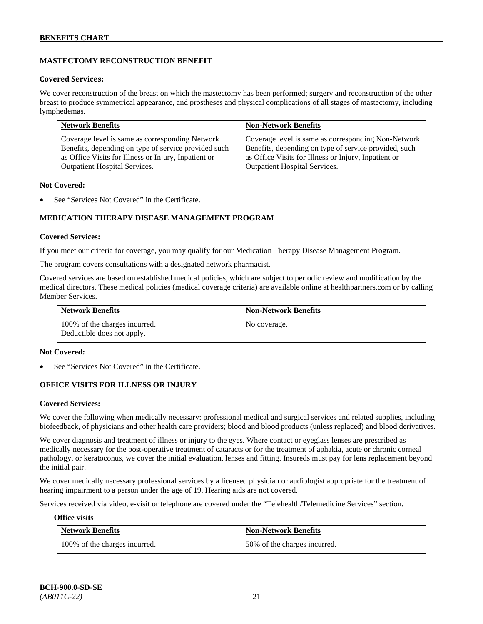# **MASTECTOMY RECONSTRUCTION BENEFIT**

#### **Covered Services:**

We cover reconstruction of the breast on which the mastectomy has been performed; surgery and reconstruction of the other breast to produce symmetrical appearance, and prostheses and physical complications of all stages of mastectomy, including lymphedemas.

| <b>Network Benefits</b>                              | <b>Non-Network Benefits</b>                           |
|------------------------------------------------------|-------------------------------------------------------|
| Coverage level is same as corresponding Network      | Coverage level is same as corresponding Non-Network   |
| Benefits, depending on type of service provided such | Benefits, depending on type of service provided, such |
| as Office Visits for Illness or Injury, Inpatient or | as Office Visits for Illness or Injury, Inpatient or  |
| Outpatient Hospital Services.                        | Outpatient Hospital Services.                         |

#### **Not Covered:**

See "Services Not Covered" in the Certificate.

# **MEDICATION THERAPY DISEASE MANAGEMENT PROGRAM**

#### **Covered Services:**

If you meet our criteria for coverage, you may qualify for our Medication Therapy Disease Management Program.

The program covers consultations with a designated network pharmacist.

Covered services are based on established medical policies, which are subject to periodic review and modification by the medical directors. These medical policies (medical coverage criteria) are available online at [healthpartners.com](http://www.healthpartners.com/) or by calling Member Services.

| <b>Network Benefits</b>                                     | <b>Non-Network Benefits</b> |
|-------------------------------------------------------------|-----------------------------|
| 100% of the charges incurred.<br>Deductible does not apply. | No coverage.                |

#### **Not Covered:**

See "Services Not Covered" in the Certificate.

# **OFFICE VISITS FOR ILLNESS OR INJURY**

#### **Covered Services:**

We cover the following when medically necessary: professional medical and surgical services and related supplies, including biofeedback, of physicians and other health care providers; blood and blood products (unless replaced) and blood derivatives.

We cover diagnosis and treatment of illness or injury to the eyes. Where contact or eyeglass lenses are prescribed as medically necessary for the post-operative treatment of cataracts or for the treatment of aphakia, acute or chronic corneal pathology, or keratoconus, we cover the initial evaluation, lenses and fitting. Insureds must pay for lens replacement beyond the initial pair.

We cover medically necessary professional services by a licensed physician or audiologist appropriate for the treatment of hearing impairment to a person under the age of 19. Hearing aids are not covered.

Services received via video, e-visit or telephone are covered under the "Telehealth/Telemedicine Services" section.

#### **Office visits**

| <b>Network Benefits</b>       | <b>Non-Network Benefits</b>  |
|-------------------------------|------------------------------|
| 100% of the charges incurred. | 50% of the charges incurred. |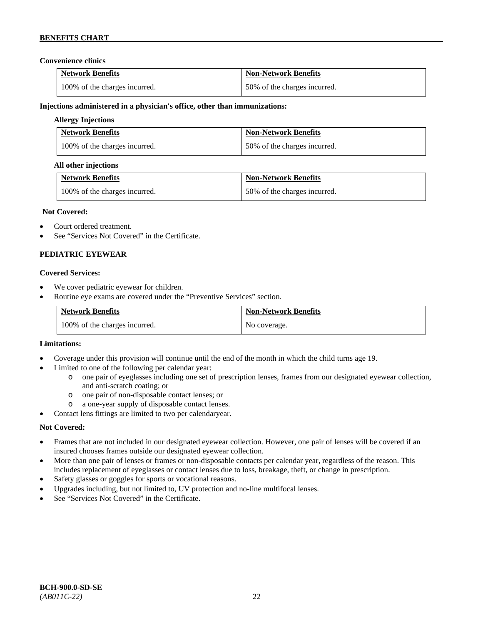#### **Convenience clinics**

| <b>Network Benefits</b>       | <b>Non-Network Benefits</b>  |
|-------------------------------|------------------------------|
| 100% of the charges incurred. | 50% of the charges incurred. |

#### **Injections administered in a physician's office, other than immunizations:**

#### **Allergy Injections**

| <b>Network Benefits</b>       | <b>Non-Network Benefits</b>  |
|-------------------------------|------------------------------|
| 100% of the charges incurred. | 50% of the charges incurred. |

#### **All other injections**

| <b>Network Benefits</b>       | <b>Non-Network Benefits</b>  |
|-------------------------------|------------------------------|
| 100% of the charges incurred. | 50% of the charges incurred. |

#### **Not Covered:**

- Court ordered treatment.
- See "Services Not Covered" in the Certificate.

# **PEDIATRIC EYEWEAR**

#### **Covered Services:**

- We cover pediatric eyewear for children.
- Routine eye exams are covered under the "Preventive Services" section.

| <b>Network Benefits</b>       | <b>Non-Network Benefits</b> |
|-------------------------------|-----------------------------|
| 100% of the charges incurred. | No coverage.                |

#### **Limitations:**

- Coverage under this provision will continue until the end of the month in which the child turns age 19.
- Limited to one of the following per calendar year:
	- o one pair of eyeglasses including one set of prescription lenses, frames from our designated eyewear collection, and anti-scratch coating; or
	- o one pair of non-disposable contact lenses; or
	- a one-year supply of disposable contact lenses.
- Contact lens fittings are limited to two per calendaryear.

# **Not Covered:**

- Frames that are not included in our designated eyewear collection. However, one pair of lenses will be covered if an insured chooses frames outside our designated eyewear collection.
- More than one pair of lenses or frames or non-disposable contacts per calendar year, regardless of the reason. This includes replacement of eyeglasses or contact lenses due to loss, breakage, theft, or change in prescription.
- Safety glasses or goggles for sports or vocational reasons.
- Upgrades including, but not limited to, UV protection and no-line multifocal lenses.
- See "Services Not Covered" in the Certificate.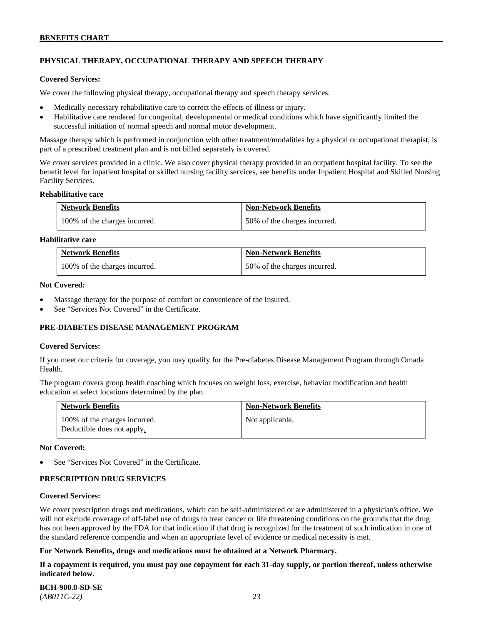# **PHYSICAL THERAPY, OCCUPATIONAL THERAPY AND SPEECH THERAPY**

#### **Covered Services:**

We cover the following physical therapy, occupational therapy and speech therapy services:

- Medically necessary rehabilitative care to correct the effects of illness or injury.
- Habilitative care rendered for congenital, developmental or medical conditions which have significantly limited the successful initiation of normal speech and normal motor development.

Massage therapy which is performed in conjunction with other treatment/modalities by a physical or occupational therapist, is part of a prescribed treatment plan and is not billed separately is covered.

We cover services provided in a clinic. We also cover physical therapy provided in an outpatient hospital facility. To see the benefit level for inpatient hospital or skilled nursing facility services, see benefits under Inpatient Hospital and Skilled Nursing Facility Services.

#### **Rehabilitative care**

| <b>Network Benefits</b>       | <b>Non-Network Benefits</b>  |
|-------------------------------|------------------------------|
| 100% of the charges incurred. | 50% of the charges incurred. |

# **Habilitative care**

| <b>Network Benefits</b>       | <b>Non-Network Benefits</b>  |
|-------------------------------|------------------------------|
| 100% of the charges incurred. | 50% of the charges incurred. |

#### **Not Covered:**

- Massage therapy for the purpose of comfort or convenience of the Insured.
- See "Services Not Covered" in the Certificate.

# **PRE-DIABETES DISEASE MANAGEMENT PROGRAM**

#### **Covered Services:**

If you meet our criteria for coverage, you may qualify for the Pre-diabetes Disease Management Program through Omada Health.

The program covers group health coaching which focuses on weight loss, exercise, behavior modification and health education at select locations determined by the plan.

| <b>Network Benefits</b>                                     | <b>Non-Network Benefits</b> |
|-------------------------------------------------------------|-----------------------------|
| 100% of the charges incurred.<br>Deductible does not apply. | Not applicable.             |

#### **Not Covered:**

See "Services Not Covered" in the Certificate.

# **PRESCRIPTION DRUG SERVICES**

#### **Covered Services:**

We cover prescription drugs and medications, which can be self-administered or are administered in a physician's office. We will not exclude coverage of off-label use of drugs to treat cancer or life threatening conditions on the grounds that the drug has not been approved by the FDA for that indication if that drug is recognized for the treatment of such indication in one of the standard reference compendia and when an appropriate level of evidence or medical necessity is met.

#### **For Network Benefits, drugs and medications must be obtained at a Network Pharmacy.**

**If a copayment is required, you must pay one copayment for each 31-day supply, or portion thereof, unless otherwise indicated below.**

**BCH-900.0-SD-SE**  *(AB011C-22)* 23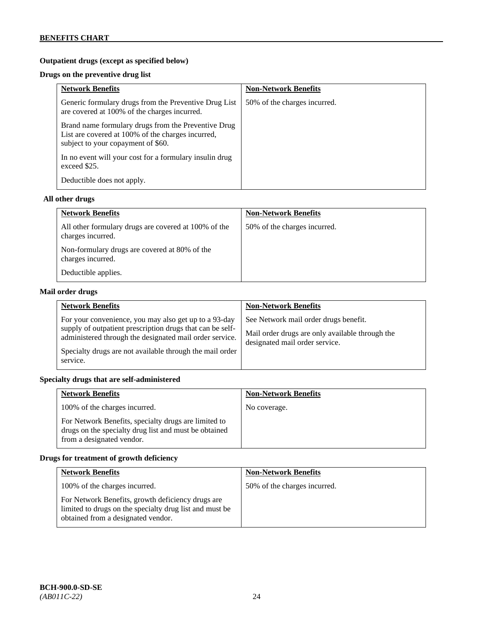# **Outpatient drugs (except as specified below)**

# **Drugs on the preventive drug list**

| <b>Network Benefits</b>                                                                                                                        | <b>Non-Network Benefits</b>  |
|------------------------------------------------------------------------------------------------------------------------------------------------|------------------------------|
| Generic formulary drugs from the Preventive Drug List<br>are covered at 100% of the charges incurred.                                          | 50% of the charges incurred. |
| Brand name formulary drugs from the Preventive Drug<br>List are covered at 100% of the charges incurred,<br>subject to your copayment of \$60. |                              |
| In no event will your cost for a formulary insulin drug<br>exceed \$25.                                                                        |                              |
| Deductible does not apply.                                                                                                                     |                              |

# **All other drugs**

| <b>Network Benefits</b>                                                   | <b>Non-Network Benefits</b>  |
|---------------------------------------------------------------------------|------------------------------|
| All other formulary drugs are covered at 100% of the<br>charges incurred. | 50% of the charges incurred. |
| Non-formulary drugs are covered at 80% of the<br>charges incurred.        |                              |
| Deductible applies.                                                       |                              |

# **Mail order drugs**

| <b>Network Benefits</b>                                                                                                                                                                                                                               | <b>Non-Network Benefits</b>                                                                                                |
|-------------------------------------------------------------------------------------------------------------------------------------------------------------------------------------------------------------------------------------------------------|----------------------------------------------------------------------------------------------------------------------------|
| For your convenience, you may also get up to a 93-day<br>supply of outpatient prescription drugs that can be self-<br>administered through the designated mail order service.<br>Specialty drugs are not available through the mail order<br>service. | See Network mail order drugs benefit.<br>Mail order drugs are only available through the<br>designated mail order service. |

# **Specialty drugs that are self-administered**

| <b>Network Benefits</b>                                                                                                                    | <b>Non-Network Benefits</b> |
|--------------------------------------------------------------------------------------------------------------------------------------------|-----------------------------|
| 100% of the charges incurred.                                                                                                              | No coverage.                |
| For Network Benefits, specialty drugs are limited to<br>drugs on the specialty drug list and must be obtained<br>from a designated vendor. |                             |

# **Drugs for treatment of growth deficiency**

| <b>Network Benefits</b>                                                                                                                            | <b>Non-Network Benefits</b>  |
|----------------------------------------------------------------------------------------------------------------------------------------------------|------------------------------|
| 100% of the charges incurred.                                                                                                                      | 50% of the charges incurred. |
| For Network Benefits, growth deficiency drugs are<br>limited to drugs on the specialty drug list and must be<br>obtained from a designated vendor. |                              |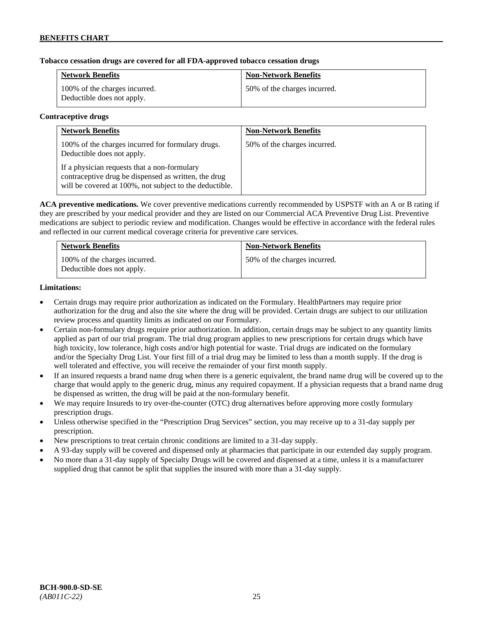# **Tobacco cessation drugs are covered for all FDA-approved tobacco cessation drugs**

| <b>Network Benefits</b>                                     | <b>Non-Network Benefits</b>  |
|-------------------------------------------------------------|------------------------------|
| 100% of the charges incurred.<br>Deductible does not apply. | 50% of the charges incurred. |

#### **Contraceptive drugs**

| <b>Network Benefits</b>                                                                                                                                         | <b>Non-Network Benefits</b>  |
|-----------------------------------------------------------------------------------------------------------------------------------------------------------------|------------------------------|
| 100% of the charges incurred for formulary drugs.<br>Deductible does not apply.                                                                                 | 50% of the charges incurred. |
| If a physician requests that a non-formulary<br>contraceptive drug be dispensed as written, the drug<br>will be covered at 100%, not subject to the deductible. |                              |

**ACA preventive medications.** We cover preventive medications currently recommended by USPSTF with an A or B rating if they are prescribed by your medical provider and they are listed on our Commercial ACA Preventive Drug List. Preventive medications are subject to periodic review and modification. Changes would be effective in accordance with the federal rules and reflected in our current medical coverage criteria for preventive care services.

| <b>Network Benefits</b>                                     | <b>Non-Network Benefits</b>  |
|-------------------------------------------------------------|------------------------------|
| 100% of the charges incurred.<br>Deductible does not apply. | 50% of the charges incurred. |

#### **Limitations:**

- Certain drugs may require prior authorization as indicated on the Formulary. HealthPartners may require prior authorization for the drug and also the site where the drug will be provided. Certain drugs are subject to our utilization review process and quantity limits as indicated on our Formulary.
- Certain non-formulary drugs require prior authorization. In addition, certain drugs may be subject to any quantity limits applied as part of our trial program. The trial drug program applies to new prescriptions for certain drugs which have high toxicity, low tolerance, high costs and/or high potential for waste. Trial drugs are indicated on the formulary and/or the Specialty Drug List. Your first fill of a trial drug may be limited to less than a month supply. If the drug is well tolerated and effective, you will receive the remainder of your first month supply.
- If an insured requests a brand name drug when there is a generic equivalent, the brand name drug will be covered up to the charge that would apply to the generic drug, minus any required copayment. If a physician requests that a brand name drug be dispensed as written, the drug will be paid at the non-formulary benefit.
- We may require Insureds to try over-the-counter (OTC) drug alternatives before approving more costly formulary prescription drugs.
- Unless otherwise specified in the "Prescription Drug Services" section, you may receive up to a 31-day supply per prescription.
- New prescriptions to treat certain chronic conditions are limited to a 31-day supply.
- A 93-day supply will be covered and dispensed only at pharmacies that participate in our extended day supply program.
- No more than a 31-day supply of Specialty Drugs will be covered and dispensed at a time, unless it is a manufacturer supplied drug that cannot be split that supplies the insured with more than a 31-day supply.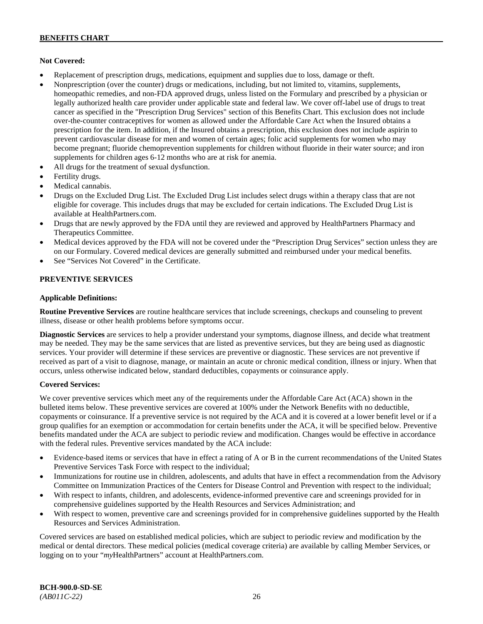# **Not Covered:**

- Replacement of prescription drugs, medications, equipment and supplies due to loss, damage or theft.
- Nonprescription (over the counter) drugs or medications, including, but not limited to, vitamins, supplements, homeopathic remedies, and non-FDA approved drugs, unless listed on the Formulary and prescribed by a physician or legally authorized health care provider under applicable state and federal law. We cover off-label use of drugs to treat cancer as specified in the "Prescription Drug Services" section of this Benefits Chart. This exclusion does not include over-the-counter contraceptives for women as allowed under the Affordable Care Act when the Insured obtains a prescription for the item. In addition, if the Insured obtains a prescription, this exclusion does not include aspirin to prevent cardiovascular disease for men and women of certain ages; folic acid supplements for women who may become pregnant; fluoride chemoprevention supplements for children without fluoride in their water source; and iron supplements for children ages 6-12 months who are at risk for anemia.
- All drugs for the treatment of sexual dysfunction.
- Fertility drugs.
- Medical cannabis.
- Drugs on the Excluded Drug List. The Excluded Drug List includes select drugs within a therapy class that are not eligible for coverage. This includes drugs that may be excluded for certain indications. The Excluded Drug List is available a[t HealthPartners.com.](http://www.healthpartners.com/)
- Drugs that are newly approved by the FDA until they are reviewed and approved by HealthPartners Pharmacy and Therapeutics Committee.
- Medical devices approved by the FDA will not be covered under the "Prescription Drug Services" section unless they are on our Formulary. Covered medical devices are generally submitted and reimbursed under your medical benefits.
- See "Services Not Covered" in the Certificate.

# **PREVENTIVE SERVICES**

#### **Applicable Definitions:**

**Routine Preventive Services** are routine healthcare services that include screenings, checkups and counseling to prevent illness, disease or other health problems before symptoms occur.

**Diagnostic Services** are services to help a provider understand your symptoms, diagnose illness, and decide what treatment may be needed. They may be the same services that are listed as preventive services, but they are being used as diagnostic services. Your provider will determine if these services are preventive or diagnostic. These services are not preventive if received as part of a visit to diagnose, manage, or maintain an acute or chronic medical condition, illness or injury. When that occurs, unless otherwise indicated below, standard deductibles, copayments or coinsurance apply.

# **Covered Services:**

We cover preventive services which meet any of the requirements under the Affordable Care Act (ACA) shown in the bulleted items below. These preventive services are covered at 100% under the Network Benefits with no deductible, copayments or coinsurance. If a preventive service is not required by the ACA and it is covered at a lower benefit level or if a group qualifies for an exemption or accommodation for certain benefits under the ACA, it will be specified below. Preventive benefits mandated under the ACA are subject to periodic review and modification. Changes would be effective in accordance with the federal rules. Preventive services mandated by the ACA include:

- Evidence-based items or services that have in effect a rating of A or B in the current recommendations of the United States Preventive Services Task Force with respect to the individual;
- Immunizations for routine use in children, adolescents, and adults that have in effect a recommendation from the Advisory Committee on Immunization Practices of the Centers for Disease Control and Prevention with respect to the individual;
- With respect to infants, children, and adolescents, evidence-informed preventive care and screenings provided for in comprehensive guidelines supported by the Health Resources and Services Administration; and
- With respect to women, preventive care and screenings provided for in comprehensive guidelines supported by the Health Resources and Services Administration.

Covered services are based on established medical policies, which are subject to periodic review and modification by the medical or dental directors. These medical policies (medical coverage criteria) are available by calling Member Services, or logging on to your "*my*HealthPartners" account at [HealthPartners.com.](http://www.healthpartners.com/)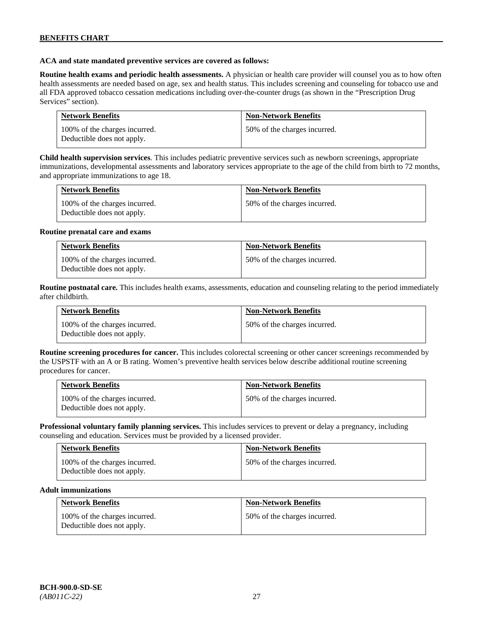#### **ACA and state mandated preventive services are covered as follows:**

**Routine health exams and periodic health assessments.** A physician or health care provider will counsel you as to how often health assessments are needed based on age, sex and health status. This includes screening and counseling for tobacco use and all FDA approved tobacco cessation medications including over-the-counter drugs (as shown in the "Prescription Drug Services" section).

| <b>Network Benefits</b>                                     | <b>Non-Network Benefits</b>  |
|-------------------------------------------------------------|------------------------------|
| 100% of the charges incurred.<br>Deductible does not apply. | 50% of the charges incurred. |

**Child health supervision services**. This includes pediatric preventive services such as newborn screenings, appropriate immunizations, developmental assessments and laboratory services appropriate to the age of the child from birth to 72 months, and appropriate immunizations to age 18.

| <b>Network Benefits</b>                                     | <b>Non-Network Benefits</b>  |
|-------------------------------------------------------------|------------------------------|
| 100% of the charges incurred.<br>Deductible does not apply. | 50% of the charges incurred. |

#### **Routine prenatal care and exams**

| <b>Network Benefits</b>                                     | <b>Non-Network Benefits</b>  |
|-------------------------------------------------------------|------------------------------|
| 100% of the charges incurred.<br>Deductible does not apply. | 50% of the charges incurred. |

**Routine postnatal care.** This includes health exams, assessments, education and counseling relating to the period immediately after childbirth.

| <b>Network Benefits</b>                                     | <b>Non-Network Benefits</b>  |
|-------------------------------------------------------------|------------------------------|
| 100% of the charges incurred.<br>Deductible does not apply. | 50% of the charges incurred. |

**Routine screening procedures for cancer.** This includes colorectal screening or other cancer screenings recommended by the USPSTF with an A or B rating. Women's preventive health services below describe additional routine screening procedures for cancer.

| <b>Network Benefits</b>                                     | <b>Non-Network Benefits</b>  |
|-------------------------------------------------------------|------------------------------|
| 100% of the charges incurred.<br>Deductible does not apply. | 50% of the charges incurred. |

**Professional voluntary family planning services.** This includes services to prevent or delay a pregnancy, including counseling and education. Services must be provided by a licensed provider.

| <b>Network Benefits</b>                                     | <b>Non-Network Benefits</b>  |
|-------------------------------------------------------------|------------------------------|
| 100% of the charges incurred.<br>Deductible does not apply. | 50% of the charges incurred. |

#### **Adult immunizations**

| <b>Network Benefits</b>                                     | <b>Non-Network Benefits</b>  |
|-------------------------------------------------------------|------------------------------|
| 100% of the charges incurred.<br>Deductible does not apply. | 50% of the charges incurred. |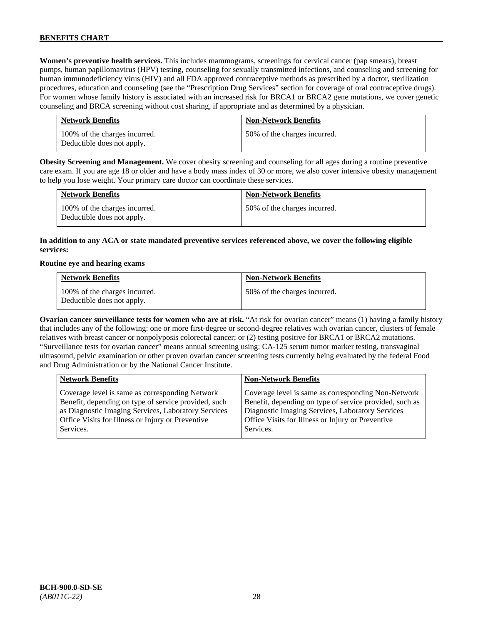**Women's preventive health services.** This includes mammograms, screenings for cervical cancer (pap smears), breast pumps, human papillomavirus (HPV) testing, counseling for sexually transmitted infections, and counseling and screening for human immunodeficiency virus (HIV) and all FDA approved contraceptive methods as prescribed by a doctor, sterilization procedures, education and counseling (see the "Prescription Drug Services" section for coverage of oral contraceptive drugs). For women whose family history is associated with an increased risk for BRCA1 or BRCA2 gene mutations, we cover genetic counseling and BRCA screening without cost sharing, if appropriate and as determined by a physician.

| <b>Network Benefits</b>                                     | <b>Non-Network Benefits</b>  |
|-------------------------------------------------------------|------------------------------|
| 100% of the charges incurred.<br>Deductible does not apply. | 50% of the charges incurred. |

**Obesity Screening and Management.** We cover obesity screening and counseling for all ages during a routine preventive care exam. If you are age 18 or older and have a body mass index of 30 or more, we also cover intensive obesity management to help you lose weight. Your primary care doctor can coordinate these services.

| <b>Network Benefits</b>                                     | <b>Non-Network Benefits</b>  |
|-------------------------------------------------------------|------------------------------|
| 100% of the charges incurred.<br>Deductible does not apply. | 50% of the charges incurred. |

# **In addition to any ACA or state mandated preventive services referenced above, we cover the following eligible services:**

#### **Routine eye and hearing exams**

| <b>Network Benefits</b>                                     | <b>Non-Network Benefits</b>  |
|-------------------------------------------------------------|------------------------------|
| 100% of the charges incurred.<br>Deductible does not apply. | 50% of the charges incurred. |

**Ovarian cancer surveillance tests for women who are at risk.** "At risk for ovarian cancer" means (1) having a family history that includes any of the following: one or more first-degree or second-degree relatives with ovarian cancer, clusters of female relatives with breast cancer or nonpolyposis colorectal cancer; or (2) testing positive for BRCA1 or BRCA2 mutations. "Surveillance tests for ovarian cancer" means annual screening using: CA-125 serum tumor marker testing, transvaginal ultrasound, pelvic examination or other proven ovarian cancer screening tests currently being evaluated by the federal Food and Drug Administration or by the National Cancer Institute.

| <b>Network Benefits</b>                              | <b>Non-Network Benefits</b>                             |
|------------------------------------------------------|---------------------------------------------------------|
| Coverage level is same as corresponding Network      | Coverage level is same as corresponding Non-Network     |
| Benefit, depending on type of service provided, such | Benefit, depending on type of service provided, such as |
| as Diagnostic Imaging Services, Laboratory Services  | Diagnostic Imaging Services, Laboratory Services        |
| Office Visits for Illness or Injury or Preventive    | Office Visits for Illness or Injury or Preventive       |
| Services.                                            | Services.                                               |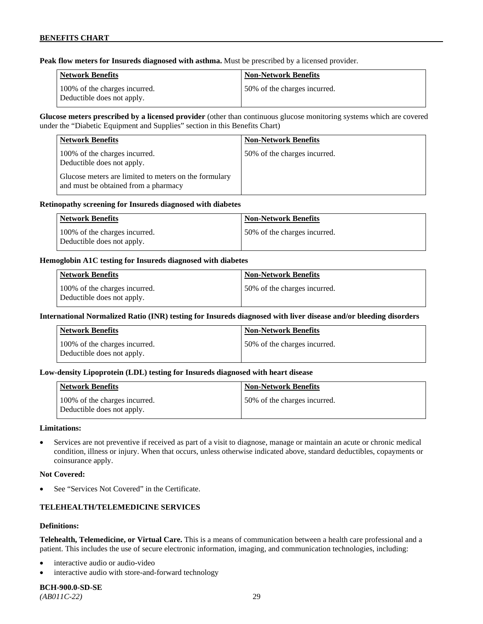**Peak flow meters for Insureds diagnosed with asthma.** Must be prescribed by a licensed provider.

| Network Benefits                                            | <b>Non-Network Benefits</b>   |
|-------------------------------------------------------------|-------------------------------|
| 100% of the charges incurred.<br>Deductible does not apply. | 150% of the charges incurred. |

**Glucose meters prescribed by a licensed provider** (other than continuous glucose monitoring systems which are covered under the "Diabetic Equipment and Supplies" section in this Benefits Chart)

| <b>Network Benefits</b>                                                                       | <b>Non-Network Benefits</b>  |
|-----------------------------------------------------------------------------------------------|------------------------------|
| 100% of the charges incurred.<br>Deductible does not apply.                                   | 50% of the charges incurred. |
| Glucose meters are limited to meters on the formulary<br>and must be obtained from a pharmacy |                              |

#### **Retinopathy screening for Insureds diagnosed with diabetes**

| Network Benefits                                            | Non-Network Benefits          |
|-------------------------------------------------------------|-------------------------------|
| 100% of the charges incurred.<br>Deductible does not apply. | 150% of the charges incurred. |

#### **Hemoglobin A1C testing for Insureds diagnosed with diabetes**

| Network Benefits                                            | <b>Non-Network Benefits</b>  |
|-------------------------------------------------------------|------------------------------|
| 100% of the charges incurred.<br>Deductible does not apply. | 50% of the charges incurred. |

# **International Normalized Ratio (INR) testing for Insureds diagnosed with liver disease and/or bleeding disorders**

| Network Benefits                                            | <b>Non-Network Benefits</b>  |
|-------------------------------------------------------------|------------------------------|
| 100% of the charges incurred.<br>Deductible does not apply. | 50% of the charges incurred. |

# **Low-density Lipoprotein (LDL) testing for Insureds diagnosed with heart disease**

| <b>Network Benefits</b>                                     | <b>Non-Network Benefits</b>   |
|-------------------------------------------------------------|-------------------------------|
| 100% of the charges incurred.<br>Deductible does not apply. | 150% of the charges incurred. |

#### **Limitations:**

• Services are not preventive if received as part of a visit to diagnose, manage or maintain an acute or chronic medical condition, illness or injury. When that occurs, unless otherwise indicated above, standard deductibles, copayments or coinsurance apply.

#### **Not Covered:**

See "Services Not Covered" in the Certificate.

# **TELEHEALTH/TELEMEDICINE SERVICES**

#### **Definitions:**

**Telehealth, Telemedicine, or Virtual Care.** This is a means of communication between a health care professional and a patient. This includes the use of secure electronic information, imaging, and communication technologies, including:

- interactive audio or audio-video
- interactive audio with store-and-forward technology

**BCH-900.0-SD-SE**  *(AB011C-22)* 29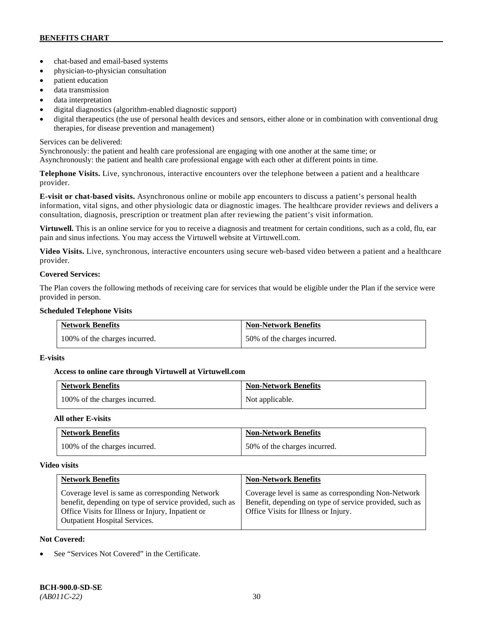- chat-based and email-based systems
- physician-to-physician consultation
- patient education
- data transmission
- data interpretation
- digital diagnostics (algorithm-enabled diagnostic support)
- digital therapeutics (the use of personal health devices and sensors, either alone or in combination with conventional drug therapies, for disease prevention and management)

# Services can be delivered:

Synchronously: the patient and health care professional are engaging with one another at the same time; or Asynchronously: the patient and health care professional engage with each other at different points in time.

**Telephone Visits.** Live, synchronous, interactive encounters over the telephone between a patient and a healthcare provider.

**E-visit or chat-based visits.** Asynchronous online or mobile app encounters to discuss a patient's personal health information, vital signs, and other physiologic data or diagnostic images. The healthcare provider reviews and delivers a consultation, diagnosis, prescription or treatment plan after reviewing the patient's visit information.

**Virtuwell.** This is an online service for you to receive a diagnosis and treatment for certain conditions, such as a cold, flu, ear pain and sinus infections. You may access the Virtuwell website at [Virtuwell.com.](https://www.virtuwell.com/)

**Video Visits.** Live, synchronous, interactive encounters using secure web-based video between a patient and a healthcare provider.

# **Covered Services:**

The Plan covers the following methods of receiving care for services that would be eligible under the Plan if the service were provided in person.

#### **Scheduled Telephone Visits**

| <b>Network Benefits</b>       | <b>Non-Network Benefits</b>  |
|-------------------------------|------------------------------|
| 100% of the charges incurred. | 50% of the charges incurred. |

# **E-visits**

# **Access to online care through Virtuwell at [Virtuwell.com](http://www.virtuwell.com/)**

| <b>Network Benefits</b>       | <b>Non-Network Benefits</b> |
|-------------------------------|-----------------------------|
| 100% of the charges incurred. | Not applicable.             |

# **All other E-visits**

| <b>Network Benefits</b>       | <b>Non-Network Benefits</b>  |
|-------------------------------|------------------------------|
| 100% of the charges incurred. | 50% of the charges incurred. |

# **Video visits**

| <b>Network Benefits</b>                                                                                                                                                                                 | <b>Non-Network Benefits</b>                                                                                                                            |
|---------------------------------------------------------------------------------------------------------------------------------------------------------------------------------------------------------|--------------------------------------------------------------------------------------------------------------------------------------------------------|
| Coverage level is same as corresponding Network<br>benefit, depending on type of service provided, such as<br>Office Visits for Illness or Injury, Inpatient or<br><b>Outpatient Hospital Services.</b> | Coverage level is same as corresponding Non-Network<br>Benefit, depending on type of service provided, such as<br>Office Visits for Illness or Injury. |

# **Not Covered:**

See "Services Not Covered" in the Certificate.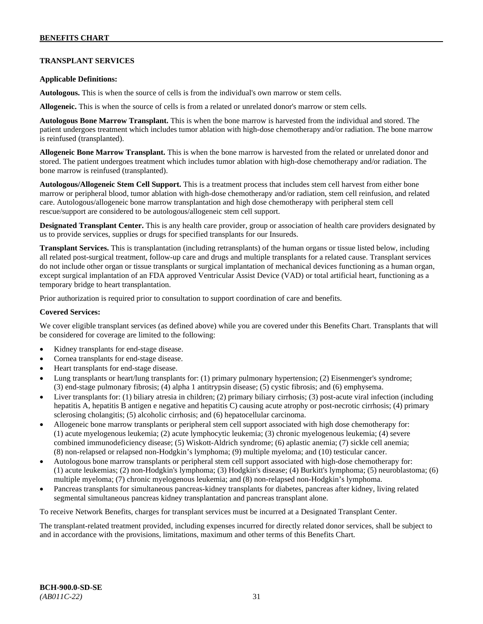# **TRANSPLANT SERVICES**

#### **Applicable Definitions:**

**Autologous.** This is when the source of cells is from the individual's own marrow or stem cells.

**Allogeneic.** This is when the source of cells is from a related or unrelated donor's marrow or stem cells.

**Autologous Bone Marrow Transplant.** This is when the bone marrow is harvested from the individual and stored. The patient undergoes treatment which includes tumor ablation with high-dose chemotherapy and/or radiation. The bone marrow is reinfused (transplanted).

**Allogeneic Bone Marrow Transplant.** This is when the bone marrow is harvested from the related or unrelated donor and stored. The patient undergoes treatment which includes tumor ablation with high-dose chemotherapy and/or radiation. The bone marrow is reinfused (transplanted).

**Autologous/Allogeneic Stem Cell Support.** This is a treatment process that includes stem cell harvest from either bone marrow or peripheral blood, tumor ablation with high-dose chemotherapy and/or radiation, stem cell reinfusion, and related care. Autologous/allogeneic bone marrow transplantation and high dose chemotherapy with peripheral stem cell rescue/support are considered to be autologous/allogeneic stem cell support.

**Designated Transplant Center.** This is any health care provider, group or association of health care providers designated by us to provide services, supplies or drugs for specified transplants for our Insureds.

**Transplant Services.** This is transplantation (including retransplants) of the human organs or tissue listed below, including all related post-surgical treatment, follow-up care and drugs and multiple transplants for a related cause. Transplant services do not include other organ or tissue transplants or surgical implantation of mechanical devices functioning as a human organ, except surgical implantation of an FDA approved Ventricular Assist Device (VAD) or total artificial heart, functioning as a temporary bridge to heart transplantation.

Prior authorization is required prior to consultation to support coordination of care and benefits.

#### **Covered Services:**

We cover eligible transplant services (as defined above) while you are covered under this Benefits Chart. Transplants that will be considered for coverage are limited to the following:

- Kidney transplants for end-stage disease.
- Cornea transplants for end-stage disease.
- Heart transplants for end-stage disease.
- Lung transplants or heart/lung transplants for: (1) primary pulmonary hypertension; (2) Eisenmenger's syndrome; (3) end-stage pulmonary fibrosis; (4) alpha 1 antitrypsin disease; (5) cystic fibrosis; and (6) emphysema.
- Liver transplants for: (1) biliary atresia in children; (2) primary biliary cirrhosis; (3) post-acute viral infection (including hepatitis A, hepatitis B antigen e negative and hepatitis C) causing acute atrophy or post-necrotic cirrhosis; (4) primary sclerosing cholangitis; (5) alcoholic cirrhosis; and (6) hepatocellular carcinoma.
- Allogeneic bone marrow transplants or peripheral stem cell support associated with high dose chemotherapy for: (1) acute myelogenous leukemia; (2) acute lymphocytic leukemia; (3) chronic myelogenous leukemia; (4) severe combined immunodeficiency disease; (5) Wiskott-Aldrich syndrome; (6) aplastic anemia; (7) sickle cell anemia; (8) non-relapsed or relapsed non-Hodgkin's lymphoma; (9) multiple myeloma; and (10) testicular cancer.
- Autologous bone marrow transplants or peripheral stem cell support associated with high-dose chemotherapy for: (1) acute leukemias; (2) non-Hodgkin's lymphoma; (3) Hodgkin's disease; (4) Burkitt's lymphoma; (5) neuroblastoma; (6) multiple myeloma; (7) chronic myelogenous leukemia; and (8) non-relapsed non-Hodgkin's lymphoma.
- Pancreas transplants for simultaneous pancreas-kidney transplants for diabetes, pancreas after kidney, living related segmental simultaneous pancreas kidney transplantation and pancreas transplant alone.

To receive Network Benefits, charges for transplant services must be incurred at a Designated Transplant Center.

The transplant-related treatment provided, including expenses incurred for directly related donor services, shall be subject to and in accordance with the provisions, limitations, maximum and other terms of this Benefits Chart.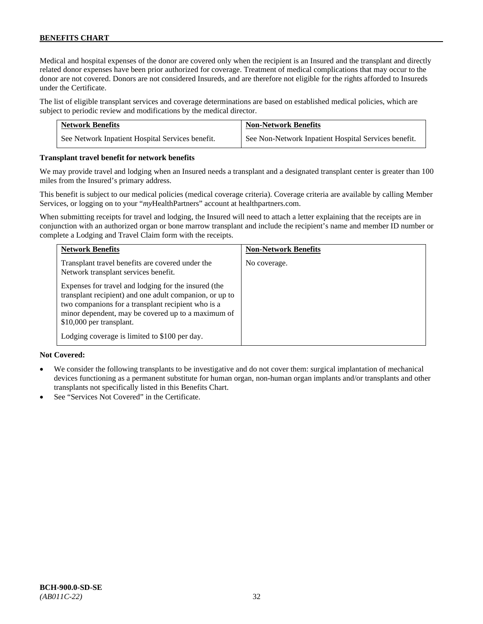Medical and hospital expenses of the donor are covered only when the recipient is an Insured and the transplant and directly related donor expenses have been prior authorized for coverage. Treatment of medical complications that may occur to the donor are not covered. Donors are not considered Insureds, and are therefore not eligible for the rights afforded to Insureds under the Certificate.

The list of eligible transplant services and coverage determinations are based on established medical policies, which are subject to periodic review and modifications by the medical director.

| <b>Network Benefits</b>                          | <b>Non-Network Benefits</b>                          |
|--------------------------------------------------|------------------------------------------------------|
| See Network Inpatient Hospital Services benefit. | See Non-Network Inpatient Hospital Services benefit. |

#### **Transplant travel benefit for network benefits**

We may provide travel and lodging when an Insured needs a transplant and a designated transplant center is greater than 100 miles from the Insured's primary address.

This benefit is subject to our medical policies (medical coverage criteria). Coverage criteria are available by calling Member Services, or logging on to your "*my*HealthPartners" account a[t healthpartners.com.](http://www.healthpartners.com/)

When submitting receipts for travel and lodging, the Insured will need to attach a letter explaining that the receipts are in conjunction with an authorized organ or bone marrow transplant and include the recipient's name and member ID number or complete a Lodging and Travel Claim form with the receipts.

| <b>Network Benefits</b>                                                                                                                                                                                                                                                                                  | <b>Non-Network Benefits</b> |
|----------------------------------------------------------------------------------------------------------------------------------------------------------------------------------------------------------------------------------------------------------------------------------------------------------|-----------------------------|
| Transplant travel benefits are covered under the<br>Network transplant services benefit.                                                                                                                                                                                                                 | No coverage.                |
| Expenses for travel and lodging for the insured (the<br>transplant recipient) and one adult companion, or up to<br>two companions for a transplant recipient who is a<br>minor dependent, may be covered up to a maximum of<br>\$10,000 per transplant.<br>Lodging coverage is limited to \$100 per day. |                             |

# **Not Covered:**

- We consider the following transplants to be investigative and do not cover them: surgical implantation of mechanical devices functioning as a permanent substitute for human organ, non-human organ implants and/or transplants and other transplants not specifically listed in this Benefits Chart.
- See "Services Not Covered" in the Certificate.